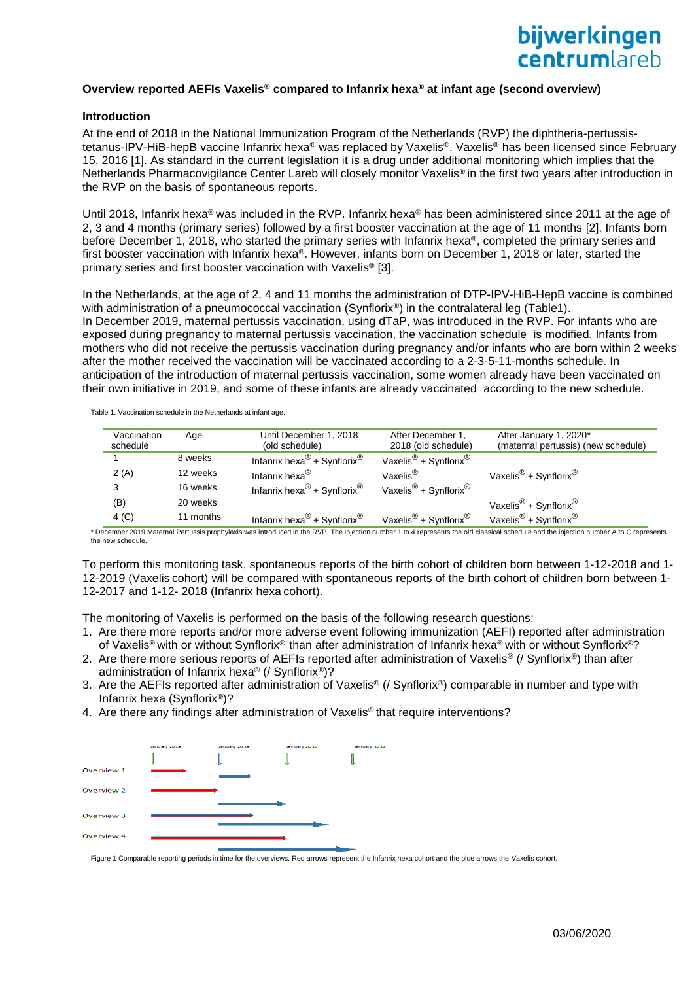# **Overview reported AEFIs Vaxelis® compared to Infanrix hexa® at infant age (second overview)**

### **Introduction**

At the end of 2018 in the National Immunization Program of the Netherlands (RVP) the diphtheria-pertussistetanus-IPV-HiB-hepB vaccine Infanrix hexa® was replaced by Vaxelis®. Vaxelis® has been licensed since February 15, 2016 [1]. As standard in the current legislation it is a drug under additional monitoring which implies that the Netherlands Pharmacovigilance Center Lareb will closely monitor Vaxelis® in the first two years after introduction in the RVP on the basis of spontaneous reports.

Until 2018, Infanrix hexa<sup>®</sup> was included in the RVP. Infanrix hexa<sup>®</sup> has been administered since 2011 at the age of 2, 3 and 4 months (primary series) followed by a first booster vaccination at the age of 11 months [2]. Infants born before December 1, 2018, who started the primary series with Infanrix hexa®, completed the primary series and first booster vaccination with Infanrix hexa®. However, infants born on December 1, 2018 or later, started the primary series and first booster vaccination with Vaxelis® [3].

In the Netherlands, at the age of 2, 4 and 11 months the administration of DTP-IPV-HiB-HepB vaccine is combined with administration of a pneumococcal vaccination (Synflorix®) in the contralateral leg (Table1). In December 2019, maternal pertussis vaccination, using dTaP, was introduced in the RVP. For infants who are exposed during pregnancy to maternal pertussis vaccination, the vaccination schedule is modified. Infants from mothers who did not receive the pertussis vaccination during pregnancy and/or infants who are born within 2 weeks after the mother received the vaccination will be vaccinated according to a 2-3-5-11-months schedule. In anticipation of the introduction of maternal pertussis vaccination, some women already have been vaccinated on their own initiative in 2019, and some of these infants are already vaccinated according to the new schedule.

Table 1. Vaccination schedule in the Netherlands at infant age.

| Vaccination<br>schedule | Age       | Until December 1, 2018<br>(old schedule)            | After December 1,<br>2018 (old schedule)      | After January 1, 2020*<br>(maternal pertussis) (new schedule) |
|-------------------------|-----------|-----------------------------------------------------|-----------------------------------------------|---------------------------------------------------------------|
|                         | 8 weeks   | Infanrix hexa <sup>®</sup> + Synflorix <sup>®</sup> | Vaxelis <sup>®</sup> + Synflorix <sup>®</sup> |                                                               |
| 2(A)                    | 12 weeks  | Infanrix hexa <sup>®</sup>                          | Vaxelis <sup>®</sup>                          | Vaxelis <sup>®</sup> + Synflorix <sup>®</sup>                 |
| 3                       | 16 weeks  | Infanrix hexa <sup>®</sup> + Synflorix <sup>®</sup> | Vaxelis <sup>®</sup> + Synflorix <sup>®</sup> |                                                               |
| (B)                     | 20 weeks  |                                                     |                                               | Vaxelis <sup>®</sup> + Synflorix <sup>®</sup>                 |
| 4 <sub>(C)</sub>        | 11 months | Infanrix hexa <sup>®</sup> + Synflorix <sup>®</sup> | Vaxelis <sup>®</sup> + Synflorix <sup>®</sup> | Vaxelis <sup>®</sup> + Synflorix <sup>®</sup>                 |

\* December 2019 Maternal Pertussis prophylaxis was introduced in the RVP. The injection number 1 to 4 represents the old classical schedule and the injection number A to C represents the new schedule.

To perform this monitoring task, spontaneous reports of the birth cohort of children born between 1-12-2018 and 1- 12-2019 (Vaxelis cohort) will be compared with spontaneous reports of the birth cohort of children born between 1- 12-2017 and 1-12- 2018 (Infanrix hexa cohort).

The monitoring of Vaxelis is performed on the basis of the following research questions:

- 1. Are there more reports and/or more adverse event following immunization (AEFI) reported after administration of Vaxelis® with or without Synflorix® than after administration of Infanrix hexa® with or without Synflorix®?
- 2. Are there more serious reports of AEFIs reported after administration of Vaxelis® (/ Synflorix®) than after administration of Infanrix hexa® (/ Synflorix®)?
- 3. Are the AEFIs reported after administration of Vaxelis® (/ Synflorix®) comparable in number and type with Infanrix hexa (Synflorix®)?
- 4. Are there any findings after administration of Vaxelis<sup>®</sup> that require interventions?



Figure 1 Comparable reporting periods in time for the overviews. Red arrows represent the Infanrix hexa cohort and the blue arrows the Vaxelis cohort.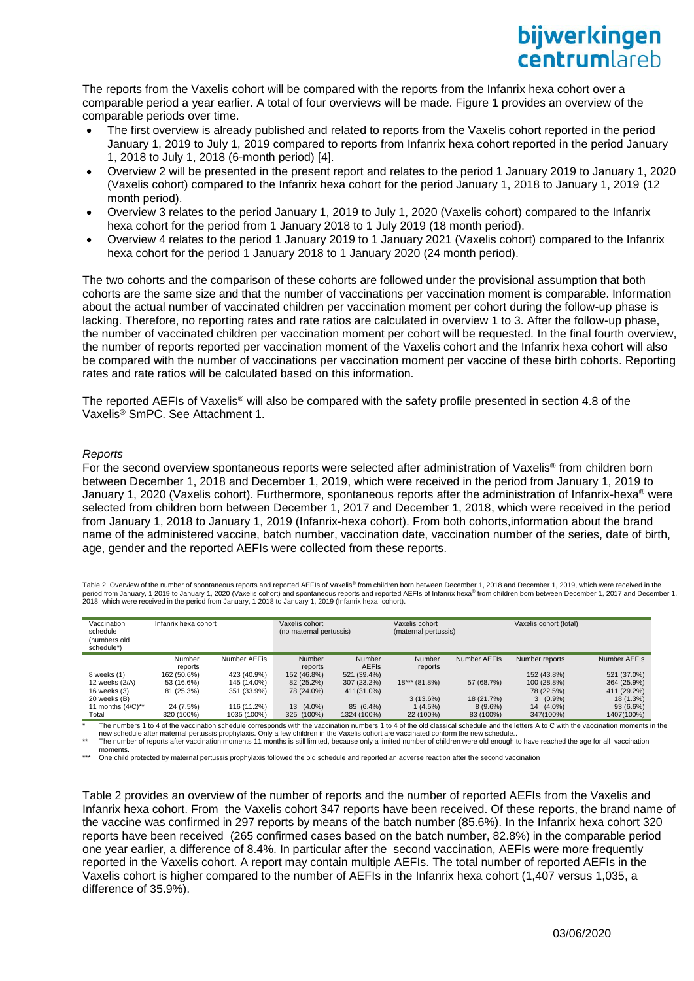The reports from the Vaxelis cohort will be compared with the reports from the Infanrix hexa cohort over a comparable period a year earlier. A total of four overviews will be made. Figure 1 provides an overview of the comparable periods over time.

- The first overview is already published and related to reports from the Vaxelis cohort reported in the period January 1, 2019 to July 1, 2019 compared to reports from Infanrix hexa cohort reported in the period January 1, 2018 to July 1, 2018 (6-month period) [4].
- Overview 2 will be presented in the present report and relates to the period 1 January 2019 to January 1, 2020 (Vaxelis cohort) compared to the Infanrix hexa cohort for the period January 1, 2018 to January 1, 2019 (12 month period).
- Overview 3 relates to the period January 1, 2019 to July 1, 2020 (Vaxelis cohort) compared to the Infanrix hexa cohort for the period from 1 January 2018 to 1 July 2019 (18 month period).
- Overview 4 relates to the period 1 January 2019 to 1 January 2021 (Vaxelis cohort) compared to the Infanrix hexa cohort for the period 1 January 2018 to 1 January 2020 (24 month period).

The two cohorts and the comparison of these cohorts are followed under the provisional assumption that both cohorts are the same size and that the number of vaccinations per vaccination moment is comparable. Information about the actual number of vaccinated children per vaccination moment per cohort during the follow-up phase is lacking. Therefore, no reporting rates and rate ratios are calculated in overview 1 to 3. After the follow-up phase, the number of vaccinated children per vaccination moment per cohort will be requested. In the final fourth overview, the number of reports reported per vaccination moment of the Vaxelis cohort and the Infanrix hexa cohort will also be compared with the number of vaccinations per vaccination moment per vaccine of these birth cohorts. Reporting rates and rate ratios will be calculated based on this information.

The reported AEFIs of Vaxelis® will also be compared with the safety profile presented in section 4.8 of the Vaxelis® SmPC. See Attachment 1.

# *Reports*

For the second overview spontaneous reports were selected after administration of Vaxelis® from children born between December 1, 2018 and December 1, 2019, which were received in the period from January 1, 2019 to January 1, 2020 (Vaxelis cohort). Furthermore, spontaneous reports after the administration of Infanrix-hexa® were selected from children born between December 1, 2017 and December 1, 2018, which were received in the period from January 1, 2018 to January 1, 2019 (Infanrix-hexa cohort). From both cohorts,information about the brand name of the administered vaccine, batch number, vaccination date, vaccination number of the series, date of birth, age, gender and the reported AEFIs were collected from these reports.

Table 2. Overview of the number of spontaneous reports and reported AEFIs of Vaxelis® from children born between December 1, 2018 and December 1, 2019, which were received in the period from January, 1 2019 to January 1, 2020 (Vaxelis cohort) and spontaneous reports and reported AEFIs of Infanrix hexa® from children born between December 1, 2017 and December 1, 2018, which were received in the period from January, 1 2018 to January 1, 2019 (Infanrix hexa cohort).

| Vaccination<br>schedule<br>(numbers old<br>schedule*) | Infanrix hexa cohort |              | Vaxelis cohort<br>(no maternal pertussis) |              | Vaxelis cohort<br>(maternal pertussis) |              | Vaxelis cohort (total) |              |
|-------------------------------------------------------|----------------------|--------------|-------------------------------------------|--------------|----------------------------------------|--------------|------------------------|--------------|
|                                                       | Number               | Number AEFis | Number                                    | Number       | Number                                 | Number AEFIs | Number reports         | Number AEFIs |
|                                                       | reports              |              | reports                                   | <b>AEFIS</b> | reports                                |              |                        |              |
| 8 weeks (1)                                           | 162 (50.6%)          | 423 (40.9%)  | 152 (46.8%)                               | 521 (39.4%)  |                                        |              | 152 (43.8%)            | 521 (37.0%)  |
| 12 weeks (2/A)                                        | 53 (16.6%)           | 145 (14.0%)  | 82 (25.2%)                                | 307 (23.2%)  | $18***$ (81.8%)                        | 57 (68.7%)   | 100 (28.8%)            | 364 (25.9%)  |
| 16 weeks (3)                                          | 81 (25.3%)           | 351 (33.9%)  | 78 (24.0%)                                | 411(31.0%)   |                                        |              | 78 (22.5%)             | 411 (29.2%)  |
| 20 weeks (B)                                          |                      |              |                                           |              | $3(13.6\%)$                            | 18 (21.7%)   | $3(0.9\%)$             | 18 (1.3%)    |
| 11 months $(4/C)^{**}$                                | 24 (7.5%)            | 116 (11.2%)  | 13 (4.0%)                                 | 85 (6.4%)    | $(4.5\%)$                              | $8(9.6\%)$   | $(4.0\%)$<br>14        | 93 (6.6%)    |
| Total                                                 | 320 (100%)           | 1035 (100%)  | 325 (100%)                                | 1324 (100%)  | 22 (100%)                              | 83 (100%)    | 347(100%)              | 1407(100%)   |

The numbers 1 to 4 of the vaccination schedule corresponds with the vaccination numbers 1 to 4 of the old classical schedule and the letters A to C with the vaccination moments in the new schedule after maternal pertussis prophylaxis. Only a few children in the Vaxelis cohort are vaccinated conform the new schedule..<br>The number of reports after vaccination moments 11 months is still limited, because onl

moments.

\*\*\* One child protected by maternal pertussis prophylaxis followed the old schedule and reported an adverse reaction after the second vaccination

Table 2 provides an overview of the number of reports and the number of reported AEFIs from the Vaxelis and Infanrix hexa cohort. From the Vaxelis cohort 347 reports have been received. Of these reports, the brand name of the vaccine was confirmed in 297 reports by means of the batch number (85.6%). In the Infanrix hexa cohort 320 reports have been received (265 confirmed cases based on the batch number, 82.8%) in the comparable period one year earlier, a difference of 8.4%. In particular after the second vaccination, AEFIs were more frequently reported in the Vaxelis cohort. A report may contain multiple AEFIs. The total number of reported AEFIs in the Vaxelis cohort is higher compared to the number of AEFIs in the Infanrix hexa cohort (1,407 versus 1,035, a difference of 35.9%).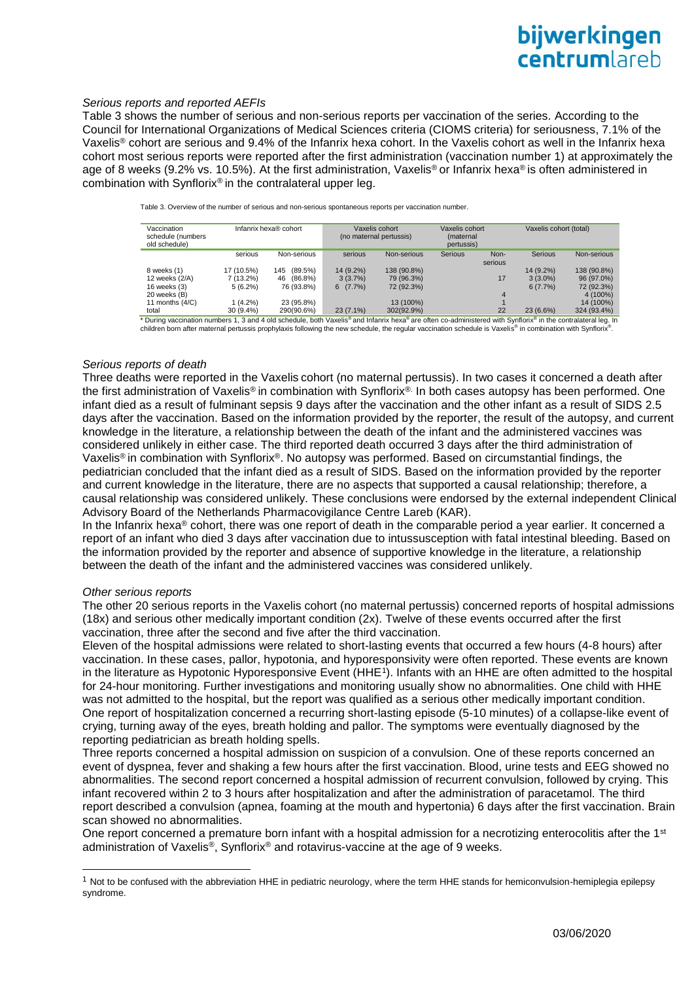# *Serious reports and reported AEFIs*

Table 3 shows the number of serious and non-serious reports per vaccination of the series. According to the Council for International Organizations of Medical Sciences criteria (CIOMS criteria) for seriousness, 7.1% of the Vaxelis® cohort are serious and 9.4% of the Infanrix hexa cohort. In the Vaxelis cohort as well in the Infanrix hexa cohort most serious reports were reported after the first administration (vaccination number 1) at approximately the age of 8 weeks (9.2% vs. 10.5%). At the first administration, Vaxelis® or Infanrix hexa® is often administered in combination with Synflorix® in the contralateral upper leg.

| Vaccination<br>schedule (numbers<br>old schedule) |             | Infanrix hexa® cohort |             | Vaxelis cohort<br>(no maternal pertussis) | Vaxelis cohort<br>(maternal<br>pertussis) |         | Vaxelis cohort (total) |             |
|---------------------------------------------------|-------------|-----------------------|-------------|-------------------------------------------|-------------------------------------------|---------|------------------------|-------------|
|                                                   | serious     | Non-serious           | serious     | Non-serious                               | <b>Serious</b>                            | Non-    | Serious                | Non-serious |
|                                                   |             |                       |             |                                           |                                           | serious |                        |             |
| 8 weeks (1)                                       | 17 (10.5%)  | (89.5%)<br>145        | 14 (9.2%)   | 138 (90.8%)                               |                                           |         | 14 (9.2%)              | 138 (90.8%) |
| 12 weeks (2/A)                                    | $7(13.2\%)$ | $(86.8\%)$<br>46      | 3(3.7%)     | 79 (96.3%)                                |                                           | 17      | $3(3.0\%)$             | 96 (97.0%)  |
| 16 weeks (3)                                      | $5(6.2\%)$  | 76 (93.8%)            | 6(7.7%)     | 72 (92.3%)                                |                                           |         | 6(7.7%)                | 72 (92.3%)  |
| 20 weeks (B)                                      |             |                       |             |                                           |                                           | 4       |                        | 4 (100%)    |
| 11 months $(4/C)$                                 | $(4.2\%)$   | 23 (95.8%)            |             | 13 (100%)                                 |                                           |         |                        | 14 (100%)   |
| total                                             | 30 (9.4%)   | 290(90.6%)            | $23(7.1\%)$ | 302(92.9%)                                |                                           | 22      | 23 (6.6%)              | 324 (93.4%) |
|                                                   |             |                       |             |                                           |                                           |         |                        |             |

Table 3. Overview of the number of serious and non-serious spontaneous reports per vaccination number.

\* During vaccination numbers 1, 3 and 4 old schedule, both Vaxelis<sup>®</sup> and Infanrix hexa® are often co-administered with Synflorix® in the contralateral leg. In children born after maternal pertussis prophylaxis following the new schedule, the regular vaccination schedule is Vaxelis® in combination with Synflorix® .

#### *Serious reports of death*

Three deaths were reported in the Vaxelis cohort (no maternal pertussis). In two cases it concerned a death after the first administration of Vaxelis® in combination with Synflorix®. In both cases autopsy has been performed. One infant died as a result of fulminant sepsis 9 days after the vaccination and the other infant as a result of SIDS 2.5 days after the vaccination. Based on the information provided by the reporter, the result of the autopsy, and current knowledge in the literature, a relationship between the death of the infant and the administered vaccines was considered unlikely in either case. The third reported death occurred 3 days after the third administration of Vaxelis® in combination with Synflorix®. No autopsy was performed. Based on circumstantial findings, the pediatrician concluded that the infant died as a result of SIDS. Based on the information provided by the reporter and current knowledge in the literature, there are no aspects that supported a causal relationship; therefore, a causal relationship was considered unlikely. These conclusions were endorsed by the external independent Clinical Advisory Board of the Netherlands Pharmacovigilance Centre Lareb (KAR).

In the Infanrix hexa® cohort, there was one report of death in the comparable period a year earlier. It concerned a report of an infant who died 3 days after vaccination due to intussusception with fatal intestinal bleeding. Based on the information provided by the reporter and absence of supportive knowledge in the literature, a relationship between the death of the infant and the administered vaccines was considered unlikely.

#### *Other serious reports*

1

The other 20 serious reports in the Vaxelis cohort (no maternal pertussis) concerned reports of hospital admissions (18x) and serious other medically important condition (2x). Twelve of these events occurred after the first vaccination, three after the second and five after the third vaccination.

Eleven of the hospital admissions were related to short-lasting events that occurred a few hours (4-8 hours) after vaccination. In these cases, pallor, hypotonia, and hyporesponsivity were often reported. These events are known in the literature as Hypotonic Hyporesponsive Event (HHE<sup>1</sup>). Infants with an HHE are often admitted to the hospital for 24-hour monitoring. Further investigations and monitoring usually show no abnormalities. One child with HHE was not admitted to the hospital, but the report was qualified as a serious other medically important condition. One report of hospitalization concerned a recurring short-lasting episode (5-10 minutes) of a collapse-like event of crying, turning away of the eyes, breath holding and pallor. The symptoms were eventually diagnosed by the reporting pediatrician as breath holding spells.

Three reports concerned a hospital admission on suspicion of a convulsion. One of these reports concerned an event of dyspnea, fever and shaking a few hours after the first vaccination. Blood, urine tests and EEG showed no abnormalities. The second report concerned a hospital admission of recurrent convulsion, followed by crying. This infant recovered within 2 to 3 hours after hospitalization and after the administration of paracetamol. The third report described a convulsion (apnea, foaming at the mouth and hypertonia) 6 days after the first vaccination. Brain scan showed no abnormalities.

One report concerned a premature born infant with a hospital admission for a necrotizing enterocolitis after the 1<sup>st</sup> administration of Vaxelis®, Synflorix® and rotavirus-vaccine at the age of 9 weeks.

 $1$  Not to be confused with the abbreviation HHE in pediatric neurology, where the term HHE stands for hemiconvulsion-hemiplegia epilepsy syndrome.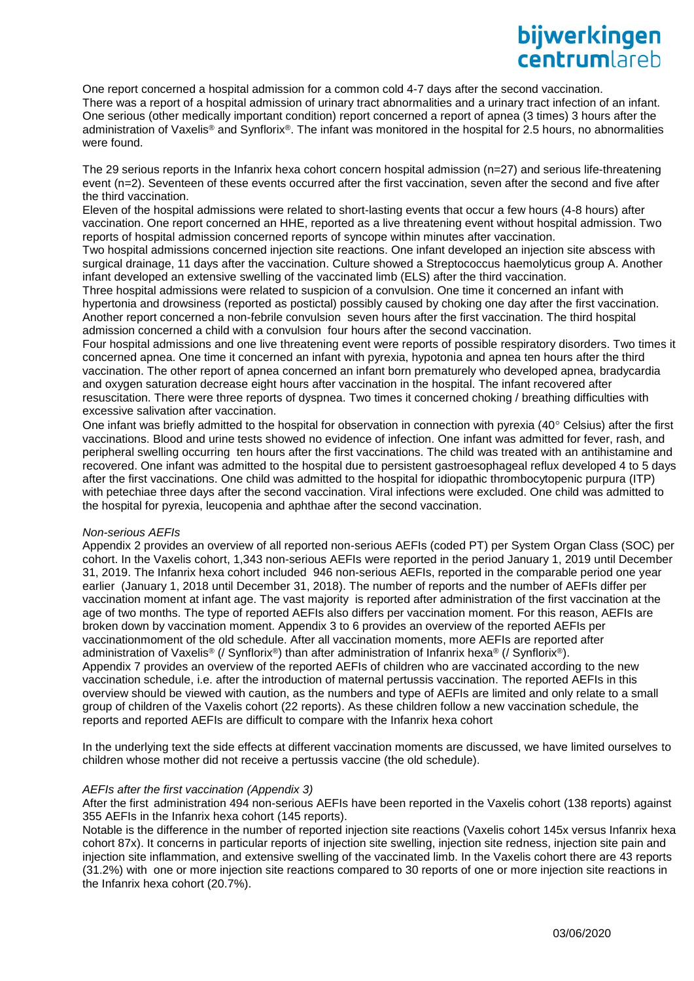One report concerned a hospital admission for a common cold 4-7 days after the second vaccination. There was a report of a hospital admission of urinary tract abnormalities and a urinary tract infection of an infant. One serious (other medically important condition) report concerned a report of apnea (3 times) 3 hours after the administration of Vaxelis® and Synflorix®. The infant was monitored in the hospital for 2.5 hours, no abnormalities were found.

The 29 serious reports in the Infanrix hexa cohort concern hospital admission (n=27) and serious life-threatening event (n=2). Seventeen of these events occurred after the first vaccination, seven after the second and five after the third vaccination.

Eleven of the hospital admissions were related to short-lasting events that occur a few hours (4-8 hours) after vaccination. One report concerned an HHE, reported as a live threatening event without hospital admission. Two reports of hospital admission concerned reports of syncope within minutes after vaccination.

Two hospital admissions concerned injection site reactions. One infant developed an injection site abscess with surgical drainage, 11 days after the vaccination. Culture showed a Streptococcus haemolyticus group A. Another infant developed an extensive swelling of the vaccinated limb (ELS) after the third vaccination.

Three hospital admissions were related to suspicion of a convulsion. One time it concerned an infant with hypertonia and drowsiness (reported as postictal) possibly caused by choking one day after the first vaccination. Another report concerned a non-febrile convulsion seven hours after the first vaccination. The third hospital admission concerned a child with a convulsion four hours after the second vaccination.

Four hospital admissions and one live threatening event were reports of possible respiratory disorders. Two times it concerned apnea. One time it concerned an infant with pyrexia, hypotonia and apnea ten hours after the third vaccination. The other report of apnea concerned an infant born prematurely who developed apnea, bradycardia and oxygen saturation decrease eight hours after vaccination in the hospital. The infant recovered after resuscitation. There were three reports of dyspnea. Two times it concerned choking / breathing difficulties with excessive salivation after vaccination.

One infant was briefly admitted to the hospital for observation in connection with pyrexia (40 $\degree$  Celsius) after the first vaccinations. Blood and urine tests showed no evidence of infection. One infant was admitted for fever, rash, and peripheral swelling occurring ten hours after the first vaccinations. The child was treated with an antihistamine and recovered. One infant was admitted to the hospital due to persistent gastroesophageal reflux developed 4 to 5 days after the first vaccinations. One child was admitted to the hospital for idiopathic thrombocytopenic purpura (ITP) with petechiae three days after the second vaccination. Viral infections were excluded. One child was admitted to the hospital for pyrexia, leucopenia and aphthae after the second vaccination.

# *Non-serious AEFIs*

Appendix 2 provides an overview of all reported non-serious AEFIs (coded PT) per System Organ Class (SOC) per cohort. In the Vaxelis cohort, 1,343 non-serious AEFIs were reported in the period January 1, 2019 until December 31, 2019. The Infanrix hexa cohort included 946 non-serious AEFIs, reported in the comparable period one year earlier (January 1, 2018 until December 31, 2018). The number of reports and the number of AEFIs differ per vaccination moment at infant age. The vast majority is reported after administration of the first vaccination at the age of two months. The type of reported AEFIs also differs per vaccination moment. For this reason, AEFIs are broken down by vaccination moment. Appendix 3 to 6 provides an overview of the reported AEFIs per vaccinationmoment of the old schedule. After all vaccination moments, more AEFIs are reported after administration of Vaxelis® (/ Synflorix®) than after administration of Infanrix hexa® (/ Synflorix®). Appendix 7 provides an overview of the reported AEFIs of children who are vaccinated according to the new vaccination schedule, i.e. after the introduction of maternal pertussis vaccination. The reported AEFIs in this overview should be viewed with caution, as the numbers and type of AEFIs are limited and only relate to a small group of children of the Vaxelis cohort (22 reports). As these children follow a new vaccination schedule, the reports and reported AEFIs are difficult to compare with the Infanrix hexa cohort

In the underlying text the side effects at different vaccination moments are discussed, we have limited ourselves to children whose mother did not receive a pertussis vaccine (the old schedule).

# *AEFIs after the first vaccination (Appendix 3)*

After the first administration 494 non-serious AEFIs have been reported in the Vaxelis cohort (138 reports) against 355 AEFIs in the Infanrix hexa cohort (145 reports).

Notable is the difference in the number of reported injection site reactions (Vaxelis cohort 145x versus Infanrix hexa cohort 87x). It concerns in particular reports of injection site swelling, injection site redness, injection site pain and injection site inflammation, and extensive swelling of the vaccinated limb. In the Vaxelis cohort there are 43 reports (31.2%) with one or more injection site reactions compared to 30 reports of one or more injection site reactions in the Infanrix hexa cohort (20.7%).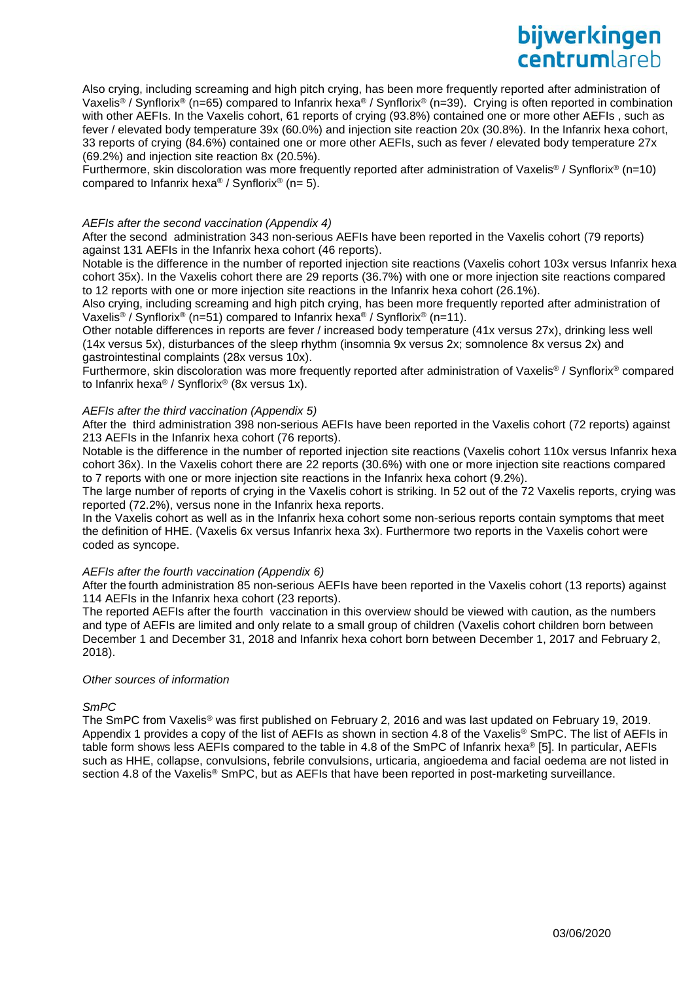Also crying, including screaming and high pitch crying, has been more frequently reported after administration of Vaxelis® / Synflorix® (n=65) compared to Infanrix hexa® / Synflorix® (n=39). Crying is often reported in combination with other AEFIs. In the Vaxelis cohort, 61 reports of crying (93.8%) contained one or more other AEFIs , such as fever / elevated body temperature 39x (60.0%) and injection site reaction 20x (30.8%). In the Infanrix hexa cohort, 33 reports of crying (84.6%) contained one or more other AEFIs, such as fever / elevated body temperature 27x (69.2%) and injection site reaction 8x (20.5%).

Furthermore, skin discoloration was more frequently reported after administration of Vaxelis® / Synflorix® (n=10) compared to Infanrix hexa<sup>®</sup> / Synflorix<sup>®</sup> (n= 5).

# *AEFIs after the second vaccination (Appendix 4)*

After the second administration 343 non-serious AEFIs have been reported in the Vaxelis cohort (79 reports) against 131 AEFIs in the Infanrix hexa cohort (46 reports).

Notable is the difference in the number of reported injection site reactions (Vaxelis cohort 103x versus Infanrix hexa cohort 35x). In the Vaxelis cohort there are 29 reports (36.7%) with one or more injection site reactions compared to 12 reports with one or more injection site reactions in the Infanrix hexa cohort (26.1%).

Also crying, including screaming and high pitch crying, has been more frequently reported after administration of Vaxelis<sup>®</sup> / Synflorix<sup>®</sup> (n=51) compared to Infanrix hexa<sup>®</sup> / Synflorix<sup>®</sup> (n=11).

Other notable differences in reports are fever / increased body temperature (41x versus 27x), drinking less well (14x versus 5x), disturbances of the sleep rhythm (insomnia 9x versus 2x; somnolence 8x versus 2x) and gastrointestinal complaints (28x versus 10x).

Furthermore, skin discoloration was more frequently reported after administration of Vaxelis® / Synflorix® compared to Infanrix hexa® / Synflorix® (8x versus 1x).

# *AEFIs after the third vaccination (Appendix 5)*

After the third administration 398 non-serious AEFIs have been reported in the Vaxelis cohort (72 reports) against 213 AEFIs in the Infanrix hexa cohort (76 reports).

Notable is the difference in the number of reported injection site reactions (Vaxelis cohort 110x versus Infanrix hexa cohort 36x). In the Vaxelis cohort there are 22 reports (30.6%) with one or more injection site reactions compared to 7 reports with one or more injection site reactions in the Infanrix hexa cohort (9.2%).

The large number of reports of crying in the Vaxelis cohort is striking. In 52 out of the 72 Vaxelis reports, crying was reported (72.2%), versus none in the Infanrix hexa reports.

In the Vaxelis cohort as well as in the Infanrix hexa cohort some non-serious reports contain symptoms that meet the definition of HHE. (Vaxelis 6x versus Infanrix hexa 3x). Furthermore two reports in the Vaxelis cohort were coded as syncope.

# *AEFIs after the fourth vaccination (Appendix 6)*

After the fourth administration 85 non-serious AEFIs have been reported in the Vaxelis cohort (13 reports) against 114 AEFIs in the Infanrix hexa cohort (23 reports).

The reported AEFIs after the fourth vaccination in this overview should be viewed with caution, as the numbers and type of AEFIs are limited and only relate to a small group of children (Vaxelis cohort children born between December 1 and December 31, 2018 and Infanrix hexa cohort born between December 1, 2017 and February 2, 2018).

# *Other sources of information*

*SmPC*

The SmPC from Vaxelis® was first published on February 2, 2016 and was last updated on February 19, 2019. Appendix 1 provides a copy of the list of AEFIs as shown in section 4.8 of the Vaxelis® SmPC. The list of AEFIs in table form shows less AEFIs compared to the table in 4.8 of the SmPC of Infanrix hexa® [5]. In particular, AEFIs such as HHE, collapse, convulsions, febrile convulsions, urticaria, angioedema and facial oedema are not listed in section 4.8 of the Vaxelis<sup>®</sup> SmPC, but as AEFIs that have been reported in post-marketing surveillance.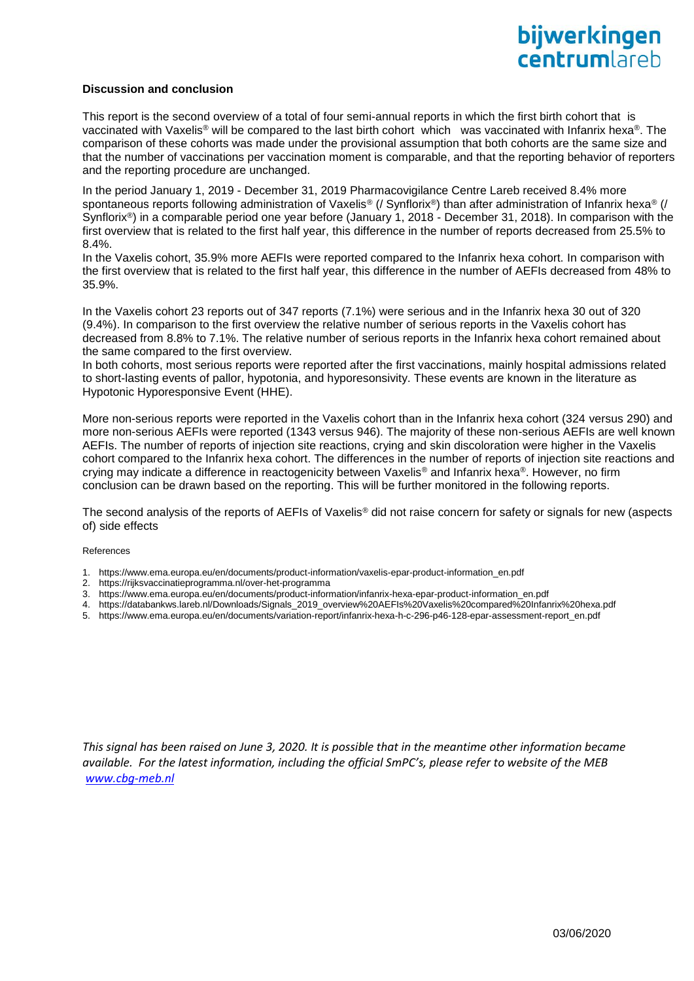# **Discussion and conclusion**

This report is the second overview of a total of four semi-annual reports in which the first birth cohort that is vaccinated with Vaxelis® will be compared to the last birth cohort which was vaccinated with Infanrix hexa®. The comparison of these cohorts was made under the provisional assumption that both cohorts are the same size and that the number of vaccinations per vaccination moment is comparable, and that the reporting behavior of reporters and the reporting procedure are unchanged.

In the period January 1, 2019 - December 31, 2019 Pharmacovigilance Centre Lareb received 8.4% more spontaneous reports following administration of Vaxelis<sup>®</sup> (/ Synflorix<sup>®</sup>) than after administration of Infanrix hexa<sup>®</sup> (/ Synflorix®) in a comparable period one year before (January 1, 2018 - December 31, 2018). In comparison with the first overview that is related to the first half year, this difference in the number of reports decreased from 25.5% to 8.4%.

In the Vaxelis cohort, 35.9% more AEFIs were reported compared to the Infanrix hexa cohort. In comparison with the first overview that is related to the first half year, this difference in the number of AEFIs decreased from 48% to 35.9%.

In the Vaxelis cohort 23 reports out of 347 reports (7.1%) were serious and in the Infanrix hexa 30 out of 320 (9.4%). In comparison to the first overview the relative number of serious reports in the Vaxelis cohort has decreased from 8.8% to 7.1%. The relative number of serious reports in the Infanrix hexa cohort remained about the same compared to the first overview.

In both cohorts, most serious reports were reported after the first vaccinations, mainly hospital admissions related to short-lasting events of pallor, hypotonia, and hyporesonsivity. These events are known in the literature as Hypotonic Hyporesponsive Event (HHE).

More non-serious reports were reported in the Vaxelis cohort than in the Infanrix hexa cohort (324 versus 290) and more non-serious AEFIs were reported (1343 versus 946). The majority of these non-serious AEFIs are well known AEFIs. The number of reports of injection site reactions, crying and skin discoloration were higher in the Vaxelis cohort compared to the Infanrix hexa cohort. The differences in the number of reports of injection site reactions and crying may indicate a difference in reactogenicity between Vaxelis® and Infanrix hexa®. However, no firm conclusion can be drawn based on the reporting. This will be further monitored in the following reports.

The second analysis of the reports of AEFIs of Vaxelis® did not raise concern for safety or signals for new (aspects of) side effects

References

- 1. https://www.ema.europa.eu/en/documents/product-information/vaxelis-epar-product-information\_en.pdf
- 2. https://rijksvaccinatieprogramma.nl/over-het-programma
- 3. [https://www.ema.europa.eu/en/documents/product-information/infanrix-hexa-epar-product-information\\_en.pdf](https://www.ema.europa.eu/en/documents/product-information/infanrix-hexa-epar-product-information_en.pdf)
- 4. [https://databankws.lareb.nl/Downloads/Signals\\_2019\\_overview%20AEFIs%20Vaxelis%20compared%20Infanrix%20hexa.pdf](https://databankws.lareb.nl/Downloads/Signals_2019_overview%20AEFIs%20Vaxelis%20compared%20Infanrix%20hexa.pdf)
- 5. https://www.ema.europa.eu/en/documents/variation-report/infanrix-hexa-h-c-296-p46-128-epar-assessment-report\_en.pdf

*This signal has been raised on June 3, 2020. It is possible that in the meantime other information became available. For the latest information, including the official SmPC's, please refer to website of the MEB [www.cbg-meb.nl](http://www.cbg-meb.nl/)*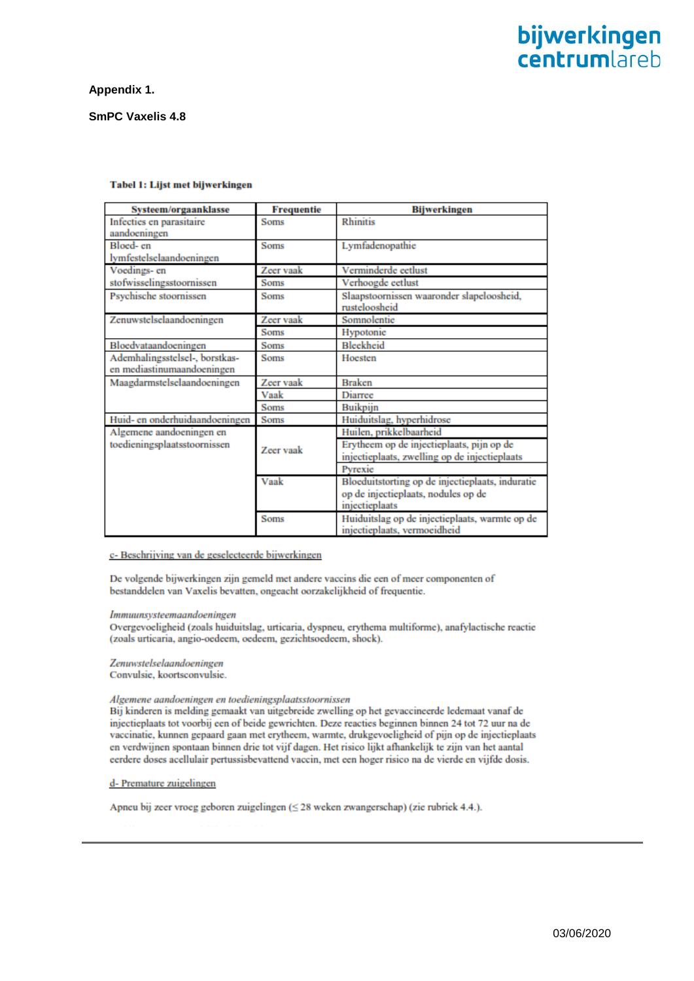# **Appendix 1.**

# **SmPC Vaxelis 4.8**

| Systeem/orgaanklasse                     | <b>Frequentie</b> | <b>Bijwerkingen</b>                                                            |
|------------------------------------------|-------------------|--------------------------------------------------------------------------------|
| Infecties en parasitaire<br>aandoeningen | <b>Soms</b>       | <b>Rhinitis</b>                                                                |
| Bloed- en                                | Soms              | Lymfadenopathie                                                                |
| lymfestelselaandoeningen                 |                   |                                                                                |
| Voedings- en                             | Zeer vaak         | Verminderde eetlust                                                            |
| stofwisselingsstoornissen                | <b>Soms</b>       | Verhoogde eetlust                                                              |
| Psychische stoornissen                   | <b>Soms</b>       | Slaapstoornissen waaronder slapeloosheid,<br>rusteloosheid                     |
| Zenuwstelselaandoeningen                 | Zeer vaak         | Somnolentie                                                                    |
|                                          | <b>Soms</b>       | Hypotonic                                                                      |
| Bloedvataandoeningen                     | Soms              | Bleekheid                                                                      |
| Ademhalingsstelsel-, borstkas-           | Soms              | Hoesten                                                                        |
| en mediastinumaandoeningen               |                   |                                                                                |
| Maagdarmstelselaandoeningen              | Zeer vaak         | <b>Braken</b>                                                                  |
|                                          | Vaak              | Diarree                                                                        |
|                                          | Soms              | Buikpijn                                                                       |
| Huid- en onderhuidaandoeningen           | Soms              | Huiduitslag, hyperhidrose                                                      |
| Algemene aandoeningen en                 |                   | Huilen, prikkelbaarheid                                                        |
| toedieningsplaatsstoornissen             | Zeer vaak         | Erytheem op de injectieplaats, pijn op de                                      |
|                                          |                   | injectieplaats, zwelling op de injectieplaats                                  |
|                                          |                   | Pyrexie                                                                        |
|                                          | Vaak              | Bloeduitstorting op de injectieplaats, induratie                               |
|                                          |                   | op de injectieplaats, nodules op de                                            |
|                                          |                   | injectieplaats                                                                 |
|                                          | Soms              | Huiduitslag op de injectieplaats, warmte op de<br>injectieplaats, vermoeidheid |

#### Tabel 1: Lijst met bijwerkingen

# c- Beschrijving van de geselecteerde bijwerkingen

De volgende bijwerkingen zijn gemeld met andere vaccins die een of meer componenten of bestanddelen van Vaxelis bevatten, ongeacht oorzakelijkheid of frequentie.

#### Immuunsysteemaandoeningen

Overgevoeligheid (zoals huiduitslag, urticaria, dyspneu, erythema multiforme), anafylactische reactie (zoals urticaria, angio-oedeem, oedeem, gezichtsoedeem, shock).

# Zenuwstelselaandoeningen

Convulsie, koortsconvulsie.

#### Algemene aandoeningen en toedieningsplaatsstoornissen

Bij kinderen is melding gemaakt van uitgebreide zwelling op het gevaccineerde ledemaat vanaf de injectieplaats tot voorbij een of beide gewrichten. Deze reacties beginnen binnen 24 tot 72 uur na de vaccinatie, kunnen gepaard gaan met erytheem, warmte, drukgevoeligheid of pijn op de injectieplaats en verdwijnen spontaan binnen drie tot vijf dagen. Het risico lijkt afhankelijk te zijn van het aantal eerdere doses acellulair pertussisbevattend vaccin, met een hoger risico na de vierde en vijfde dosis.

# d- Premature zuigelingen

Apneu bij zeer vroeg geboren zuigelingen (≤ 28 weken zwangerschap) (zie rubriek 4.4.).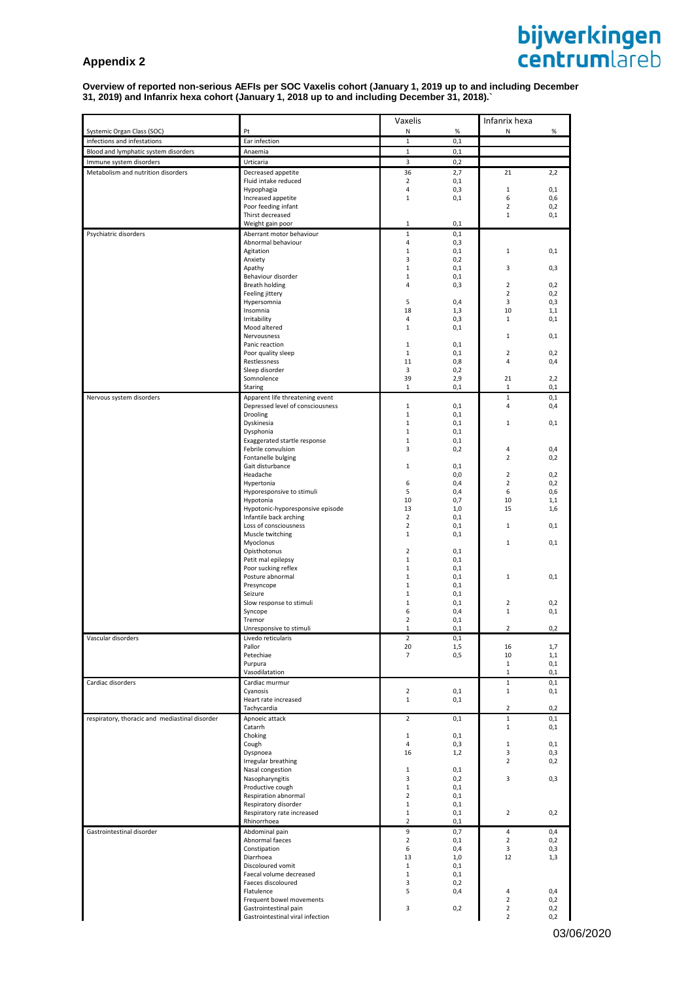# **Appendix 2**

#### **Overview of reported non-serious AEFIs per SOC Vaxelis cohort (January 1, 2019 up to and including December 31, 2019) and Infanrix hexa cohort (January 1, 2018 up to and including December 31, 2018).`**

|                                                                     |                                                                     | Vaxelis                     |            | Infanrix hexa                    |            |
|---------------------------------------------------------------------|---------------------------------------------------------------------|-----------------------------|------------|----------------------------------|------------|
| Systemic Organ Class (SOC)                                          | Pt                                                                  | Ν                           | $\%$       | N                                | $\%$       |
| infections and infestations<br>Blood and lymphatic system disorders | Ear infection<br>Anaemia                                            | $\mathbf{1}$<br>$\mathbf 1$ | 0,1<br>0,1 |                                  |            |
| Immune system disorders                                             | Urticaria                                                           | 3                           | 0,2        |                                  |            |
| Metabolism and nutrition disorders                                  | Decreased appetite                                                  | 36                          | 2,7        | 21                               | 2,2        |
|                                                                     | Fluid intake reduced                                                | $\overline{2}$              | 0,1        |                                  |            |
|                                                                     | Hypophagia                                                          | 4                           | 0,3        | $\mathbf{1}$                     | 0,1        |
|                                                                     | Increased appetite<br>Poor feeding infant                           | 1                           | 0,1        | 6<br>$\overline{2}$              | 0,6<br>0,2 |
|                                                                     | Thirst decreased                                                    |                             |            | 1                                | 0,1        |
|                                                                     | Weight gain poor                                                    | 1                           | 0,1        |                                  |            |
| Psychiatric disorders                                               | Aberrant motor behaviour<br>Abnormal behaviour                      | $\mathbf 1$<br>4            | 0,1<br>0,3 |                                  |            |
|                                                                     | Agitation                                                           | $\mathbf 1$                 | 0,1        | 1                                | 0,1        |
|                                                                     | Anxiety                                                             | 3                           | 0,2        |                                  |            |
|                                                                     | Apathy                                                              | 1                           | 0,1        | 3                                | 0,3        |
|                                                                     | Behaviour disorder<br>Breath holding                                | 1<br>4                      | 0,1<br>0,3 | $\overline{2}$                   | 0,2        |
|                                                                     | Feeling jittery                                                     |                             |            | $\overline{2}$                   | 0,2        |
|                                                                     | Hypersomnia                                                         | 5                           | 0,4        | 3                                | 0,3        |
|                                                                     | Insomnia<br>Irritability                                            | 18<br>4                     | 1,3<br>0,3 | 10<br>$\mathbf{1}$               | 1,1<br>0,1 |
|                                                                     | Mood altered                                                        | 1                           | 0,1        |                                  |            |
|                                                                     | Nervousness                                                         |                             |            | $\mathbf{1}$                     | 0,1        |
|                                                                     | Panic reaction                                                      | 1                           | 0,1        | $\overline{2}$                   |            |
|                                                                     | Poor quality sleep<br>Restlessness                                  | 1<br>11                     | 0,1<br>0,8 | 4                                | 0,2<br>0,4 |
|                                                                     | Sleep disorder                                                      | 3                           | 0,2        |                                  |            |
|                                                                     | Somnolence                                                          | 39                          | 2,9        | 21                               | 2,2        |
|                                                                     | Staring                                                             | 1                           | 0,1        | $\mathbf{1}$                     | 0,1        |
| Nervous system disorders                                            | Apparent life threatening event<br>Depressed level of consciousness | $\mathbf{1}$                | 0,1        | $\mathbf{1}$<br>4                | 0,1<br>0,4 |
|                                                                     | Drooling                                                            | 1                           | 0,1        |                                  |            |
|                                                                     | Dyskinesia                                                          | $\mathbf{1}$                | 0,1        | $\mathbf{1}$                     | 0,1        |
|                                                                     | Dysphonia<br>Exaggerated startle response                           | 1<br>1                      | 0,1<br>0,1 |                                  |            |
|                                                                     | Febrile convulsion                                                  | 3                           | 0,2        | 4                                | 0,4        |
|                                                                     | Fontanelle bulging                                                  |                             |            | $\overline{2}$                   | 0,2        |
|                                                                     | Gait disturbance                                                    | 1                           | 0,1        |                                  |            |
|                                                                     | Headache<br>Hypertonia                                              | 6                           | 0,0<br>0,4 | $\overline{2}$<br>$\overline{2}$ | 0,2<br>0,2 |
|                                                                     | Hyporesponsive to stimuli                                           | 5                           | 0,4        | 6                                | 0,6        |
|                                                                     | Hypotonia                                                           | 10                          | 0,7        | 10                               | 1,1        |
|                                                                     | Hypotonic-hyporesponsive episode<br>Infantile back arching          | 13<br>$\mathbf 2$           | 1,0<br>0,1 | 15                               | 1,6        |
|                                                                     | Loss of consciousness                                               | $\overline{2}$              | 0,1        | 1                                | 0,1        |
|                                                                     | Muscle twitching                                                    | 1                           | 0,1        |                                  |            |
|                                                                     | Myoclonus                                                           |                             |            | $\mathbf{1}$                     | 0,1        |
|                                                                     | Opisthotonus<br>Petit mal epilepsy                                  | $\overline{2}$<br>1         | 0,1<br>0,1 |                                  |            |
|                                                                     | Poor sucking reflex                                                 | $\mathbf{1}$                | 0,1        |                                  |            |
|                                                                     | Posture abnormal                                                    | 1                           | 0,1        | 1                                | 0,1        |
|                                                                     | Presyncope                                                          | 1                           | 0,1        |                                  |            |
|                                                                     | Seizure<br>Slow response to stimuli                                 | 1<br>$\mathbf 1$            | 0,1<br>0,1 | $\overline{2}$                   | 0,2        |
|                                                                     | Syncope                                                             | 6                           | 0,4        | $\mathbf 1$                      | 0,1        |
|                                                                     | Tremor                                                              | $\overline{2}$              | 0,1        |                                  |            |
|                                                                     | Unresponsive to stimuli                                             | $\mathbf{1}$<br>2           | 0,1        | $\overline{2}$                   | 0,2        |
| Vascular disorders                                                  | Livedo reticularis<br>Pallor                                        | 20                          | 0,1<br>1,5 | 16                               | 1,7        |
|                                                                     | Petechiae                                                           | 7                           | 0,5        | 10                               | 1,1        |
|                                                                     | Purpura<br>Vasodilatation                                           |                             |            | $\mathbf{1}$                     | 0,1        |
| Cardiac disorders                                                   | Cardiac murmur                                                      |                             |            | 1<br>$\mathbf{1}$                | 0,1<br>0,1 |
|                                                                     | Cyanosis                                                            | $\overline{2}$              | 0,1        | $\mathbf{1}$                     | 0,1        |
|                                                                     | Heart rate increased                                                | $\mathbf{1}$                | 0,1        |                                  |            |
|                                                                     | Tachycardia                                                         |                             |            | 2                                | 0,2        |
| respiratory, thoracic and mediastinal disorder                      | Apnoeic attack<br>Catarrh                                           | $\overline{2}$              | 0,1        | $\mathbf{1}$<br>$\mathbf{1}$     | 0,1<br>0,1 |
|                                                                     | Choking                                                             | 1                           | 0,1        |                                  |            |
|                                                                     | Cough                                                               | 4                           | 0,3        | $\mathbf{1}$                     | 0,1        |
|                                                                     | Dyspnoea                                                            | 16                          | 1,2        | 3                                | 0,3        |
|                                                                     | Irregular breathing<br>Nasal congestion                             | 1                           | 0,1        | $\overline{2}$                   | 0,2        |
|                                                                     | Nasopharyngitis                                                     | 3                           | 0,2        | 3                                | 0,3        |
|                                                                     | Productive cough                                                    | $\mathbf{1}$                | 0,1        |                                  |            |
|                                                                     | Respiration abnormal                                                | $\overline{2}$<br>1         | 0,1<br>0,1 |                                  |            |
|                                                                     | Respiratory disorder<br>Respiratory rate increased                  | $\mathbf{1}$                | 0,1        | $\overline{2}$                   | 0,2        |
|                                                                     | Rhinorrhoea                                                         | 2                           | 0,1        |                                  |            |
| Gastrointestinal disorder                                           | Abdominal pain                                                      | 9                           | 0,7        | 4                                | 0,4        |
|                                                                     | Abnormal faeces<br>Constipation                                     | $\mathbf 2$<br>6            | 0,1        | $\overline{2}$<br>3              | 0,2        |
|                                                                     | Diarrhoea                                                           | 13                          | 0,4<br>1,0 | 12                               | 0,3<br>1,3 |
|                                                                     | Discoloured vomit                                                   | 1                           | 0,1        |                                  |            |
|                                                                     | Faecal volume decreased                                             | $\mathbf{1}$                | 0,1        |                                  |            |
|                                                                     | Faeces discoloured<br>Flatulence                                    | 3<br>5                      | 0,2<br>0,4 | 4                                | 0,4        |
|                                                                     | Frequent bowel movements                                            |                             |            | $\overline{2}$                   | 0,2        |
|                                                                     | Gastrointestinal pain                                               | 3                           | 0,2        | $\overline{2}$                   | 0,2        |
|                                                                     | Gastrointestinal viral infection                                    |                             |            | $\overline{2}$                   | 0,2        |

**bijwerkingen**<br>centrumlareb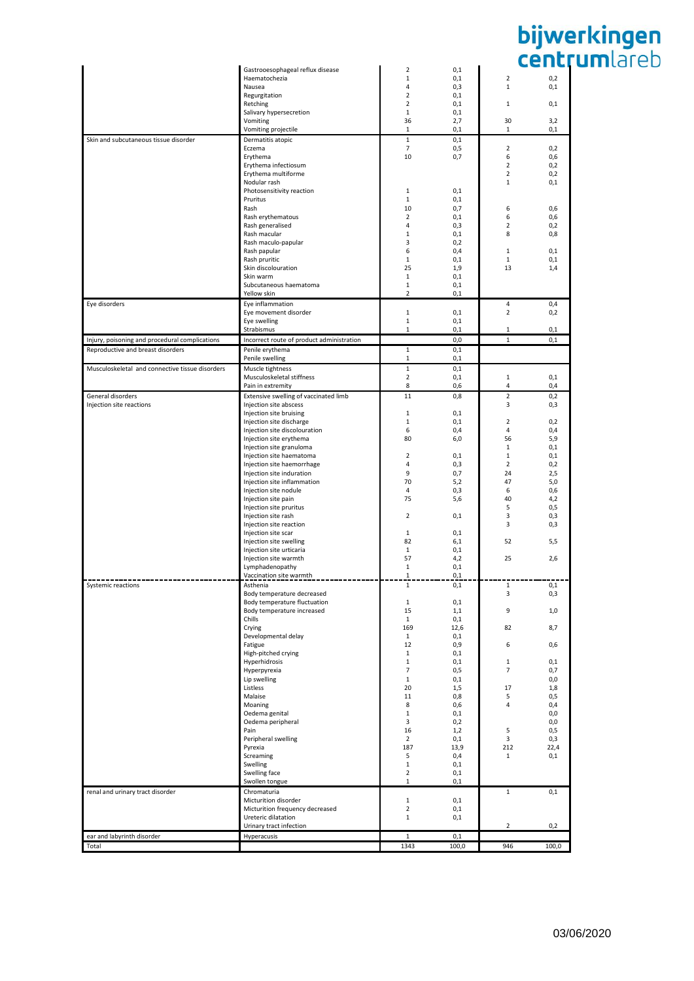|                                                 | Gastrooesophageal reflux disease          | $\overline{2}$ | 0,1      |                         |       |
|-------------------------------------------------|-------------------------------------------|----------------|----------|-------------------------|-------|
|                                                 | Haematochezia                             | 1              | 0,1      | $\overline{\mathbf{2}}$ | 0,2   |
|                                                 | Nausea                                    | 4              | 0,3      | $1\,$                   | 0,1   |
|                                                 | Regurgitation                             | $\mathbf 2$    | 0,1      |                         |       |
|                                                 | Retching                                  | $\mathbf 2$    | 0,1      | $\mathbf{1}$            | 0,1   |
|                                                 | Salivary hypersecretion                   | $1\,$          | 0,1      |                         |       |
|                                                 | Vomiting                                  | 36             | 2,7      | 30                      | 3,2   |
|                                                 | Vomiting projectile                       | 1              | 0,1      | 1                       | 0,1   |
| Skin and subcutaneous tissue disorder           | Dermatitis atopic                         | $\mathbf{1}$   | 0,1      |                         |       |
|                                                 | Eczema                                    | $\overline{7}$ | 0,5      | $\overline{2}$          | 0,2   |
|                                                 | Erythema                                  | 10             | 0,7      | 6                       | 0,6   |
|                                                 | Erythema infectiosum                      |                |          | $\overline{2}$          | 0,2   |
|                                                 | Erythema multiforme                       |                |          | $\overline{2}$          | 0,2   |
|                                                 | Nodular rash                              |                |          | $1\,$                   | 0,1   |
|                                                 | Photosensitivity reaction                 | 1              | 0,1      |                         |       |
|                                                 |                                           |                |          |                         |       |
|                                                 | Pruritus                                  | 1              | 0,1      |                         |       |
|                                                 | Rash                                      | 10             | 0,7      | 6                       | 0,6   |
|                                                 | Rash erythematous                         | $\overline{2}$ | 0,1      | 6                       | 0,6   |
|                                                 | Rash generalised                          | 4              | 0,3      | $\overline{2}$          | 0,2   |
|                                                 | Rash macular                              | 1              | 0,1      | 8                       | 0,8   |
|                                                 | Rash maculo-papular                       | 3              | 0,2      |                         |       |
|                                                 | Rash papular                              | 6              | 0,4      | $\mathbf{1}$            | 0,1   |
|                                                 | Rash pruritic                             | 1              | 0,1      | 1                       | 0,1   |
|                                                 | Skin discolouration                       | 25             | 1,9      | 13                      | 1,4   |
|                                                 | Skin warm                                 | 1              | 0,1      |                         |       |
|                                                 | Subcutaneous haematoma                    | 1              | 0,1      |                         |       |
|                                                 | Yellow skin                               | $\overline{2}$ | 0,1      |                         |       |
| Eye disorders                                   | Eye inflammation                          |                |          | 4                       | 0,4   |
|                                                 | Eye movement disorder                     | $\mathbf 1$    | 0,1      | $\overline{2}$          | 0,2   |
|                                                 |                                           | $\mathbf{1}$   | 0,1      |                         |       |
|                                                 | Eye swelling                              |                |          |                         |       |
|                                                 | Strabismus                                | 1              | 0,1      | 1                       | 0,1   |
| Injury, poisoning and procedural complications  | Incorrect route of product administration |                | 0,0      | $\mathbf{1}$            | 0,1   |
| Reproductive and breast disorders               | Penile erythema                           | $\mathbf{1}$   | 0,1      |                         |       |
|                                                 | Penile swelling                           | $\mathbf{1}$   | 0,1      |                         |       |
| Musculoskeletal and connective tissue disorders | Muscle tightness                          | $\mathbf{1}$   | 0,1      |                         |       |
|                                                 | Musculoskeletal stiffness                 | $\overline{2}$ | 0,1      | 1                       | 0,1   |
|                                                 | Pain in extremity                         | 8              | 0,6      |                         |       |
|                                                 |                                           |                |          | 4                       | 0,4   |
| General disorders                               | Extensive swelling of vaccinated limb     | 11             | 0,8      | $\overline{2}$          | 0,2   |
| Injection site reactions                        | Injection site abscess                    |                |          | 3                       | 0,3   |
|                                                 | Injection site bruising                   | 1              | 0,1      |                         |       |
|                                                 | Injection site discharge                  | 1              | 0,1      | $\overline{2}$          | 0,2   |
|                                                 | Injection site discolouration             | 6              | 0,4      | 4                       | 0,4   |
|                                                 | Injection site erythema                   | 80             | 6,0      | 56                      | 5,9   |
|                                                 | Injection site granuloma                  |                |          | 1                       | 0,1   |
|                                                 | Injection site haematoma                  | 2              | 0,1      | 1                       | 0,1   |
|                                                 | Injection site haemorrhage                | 4              | 0,3      | 2                       | 0,2   |
|                                                 | Injection site induration                 | 9              | 0,7      | 24                      | 2,5   |
|                                                 | Injection site inflammation               | 70             | 5,2      | 47                      |       |
|                                                 |                                           |                |          |                         | 5,0   |
|                                                 | Injection site nodule                     | 4              | 0,3      | 6                       | 0,6   |
|                                                 | Injection site pain                       | 75             | 5,6      | 40                      | 4,2   |
|                                                 | Injection site pruritus                   |                |          | 5                       | 0,5   |
|                                                 | Injection site rash                       | 2              | 0,1      | 3                       | 0,3   |
|                                                 | Injection site reaction                   |                |          | 3                       | 0,3   |
|                                                 | Injection site scar                       | 1              | 0,1      |                         |       |
|                                                 | Injection site swelling                   | 82             | 6,1      | 52                      | 5,5   |
|                                                 | Injection site urticaria                  | $\mathbf{1}$   | 0,1      |                         |       |
|                                                 | Injection site warmth                     | 57             | 4,2      | 25                      | 2,6   |
|                                                 | Lymphadenopathy                           | 1              | 0,1      |                         |       |
|                                                 | Vaccination site warmth                   | 1              | 0,1      |                         |       |
|                                                 | Asthenia                                  |                |          |                         |       |
| Systemic reactions                              |                                           | Ŧ.             | $_{0,1}$ | ı                       | 0,1   |
|                                                 | Body temperature decreased                |                |          | 3                       | 0,3   |
|                                                 | Body temperature fluctuation              | 1              | 0,1      |                         |       |
|                                                 | Body temperature increased                | 15             | 1,1      | 9                       | $1,0$ |
|                                                 | Chills                                    | $\mathbf{1}$   | 0,1      |                         |       |
|                                                 | Crying                                    | 169            | 12,6     | 82                      | 8,7   |
|                                                 | Developmental delay                       | $\mathbf{1}$   | 0,1      |                         |       |
|                                                 | Fatigue                                   | 12             | 0,9      | 6                       | 0,6   |
|                                                 | High-pitched crying                       | 1              | 0,1      |                         |       |
|                                                 | Hyperhidrosis                             | 1              | 0,1      | $\mathbf{1}$            | 0,1   |
|                                                 | Hyperpyrexia                              | $\overline{7}$ | 0,5      | $\overline{7}$          | 0,7   |
|                                                 | Lip swelling                              | $\mathbf{1}$   | 0,1      |                         | 0,0   |
|                                                 | Listless                                  | 20             | 1,5      | 17                      | 1,8   |
|                                                 | Malaise                                   | 11             | 0,8      | 5                       | 0, 5  |
|                                                 | Moaning                                   | 8              | 0,6      | 4                       | 0,4   |
|                                                 | Oedema genital                            | 1              | 0,1      |                         | 0,0   |
|                                                 | Oedema peripheral                         | 3              | 0,2      |                         | 0,0   |
|                                                 | Pain                                      | 16             | 1,2      | 5                       | 0, 5  |
|                                                 | Peripheral swelling                       | $\overline{2}$ | 0,1      | 3                       | 0,3   |
|                                                 | Pyrexia                                   | 187            | 13,9     | 212                     | 22,4  |
|                                                 | Screaming                                 | 5              | 0,4      | $\mathbf{1}$            | 0,1   |
|                                                 |                                           |                |          |                         |       |
|                                                 | Swelling                                  | $\mathbf{1}$   | 0,1      |                         |       |
|                                                 | Swelling face                             | $\overline{2}$ | 0,1      |                         |       |
|                                                 | Swollen tongue                            | $\mathbf{1}$   | 0,1      |                         |       |
| renal and urinary tract disorder                | Chromaturia                               |                |          | $\mathbf{1}$            | 0,1   |
|                                                 | Micturition disorder                      | 1              | 0,1      |                         |       |
|                                                 | Micturition frequency decreased           | $\overline{2}$ | 0,1      |                         |       |
|                                                 | Ureteric dilatation                       | $\mathbf 1$    | 0,1      |                         |       |
|                                                 | Urinary tract infection                   |                |          | $\overline{2}$          | 0,2   |
| ear and labyrinth disorder                      | Hyperacusis                               | $1\,$          | 0,1      |                         |       |
|                                                 |                                           |                |          |                         |       |
| Total                                           |                                           | 1343           | 100,0    | 946                     | 100,0 |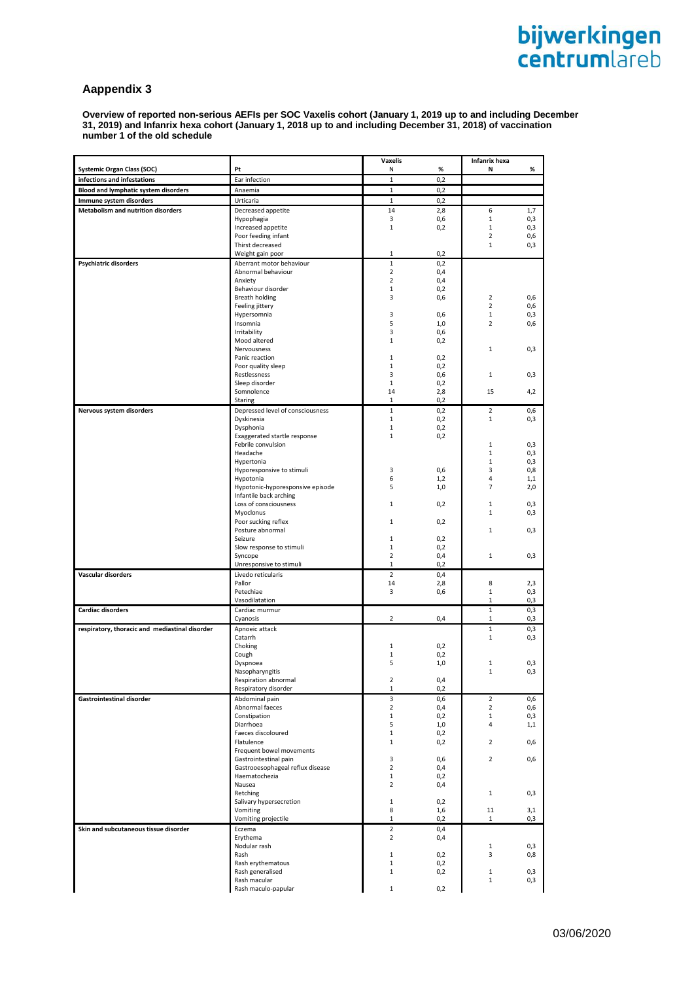# **Aappendix 3**

**Overview of reported non-serious AEFIs per SOC Vaxelis cohort (January 1, 2019 up to and including December 31, 2019) and Infanrix hexa cohort (January 1, 2018 up to and including December 31, 2018) of vaccination number 1 of the old schedule**

|                                                |                                               | <b>Vaxelis</b>                   |            | Infanrix hexa       |            |
|------------------------------------------------|-----------------------------------------------|----------------------------------|------------|---------------------|------------|
| <b>Systemic Organ Class (SOC)</b>              | Pt                                            | Ν                                | %          | Ν                   | %          |
| infections and infestations                    | Ear infection                                 | $\mathbf{1}$                     | 0,2        |                     |            |
| <b>Blood and lymphatic system disorders</b>    | Anaemia                                       | $\mathbf 1$                      | 0,2        |                     |            |
| Immune system disorders                        | Urticaria                                     | $\mathbf{1}$                     | 0,2        |                     |            |
| <b>Metabolism and nutrition disorders</b>      | Decreased appetite                            | 14                               | 2,8        | 6                   | 1,7        |
|                                                | Hypophagia                                    | 3                                | 0,6        | $1\,$               | 0,3        |
|                                                | Increased appetite                            | $\mathbf{1}$                     | 0,2        | $\mathbf{1}$        | 0,3        |
|                                                | Poor feeding infant                           |                                  |            | $\overline{2}$      | 0,6        |
|                                                | Thirst decreased                              |                                  |            | 1                   | 0,3        |
|                                                | Weight gain poor                              | 1                                | 0,2        |                     |            |
| Psychiatric disorders                          | Aberrant motor behaviour                      | $\mathbf 1$<br>$\overline{2}$    | 0,2        |                     |            |
|                                                | Abnormal behaviour<br>Anxiety                 | $\overline{2}$                   | 0,4<br>0,4 |                     |            |
|                                                | Behaviour disorder                            | $\mathbf{1}$                     | 0,2        |                     |            |
|                                                | <b>Breath holding</b>                         | 3                                | 0,6        | $\overline{2}$      | 0,6        |
|                                                | Feeling jittery                               |                                  |            | $\overline{2}$      | 0,6        |
|                                                | Hypersomnia                                   | 3                                | 0,6        | 1                   | 0,3        |
|                                                | Insomnia                                      | 5                                | 1,0        | $\overline{2}$      | 0,6        |
|                                                | Irritability                                  | 3                                | 0,6        |                     |            |
|                                                | Mood altered                                  | 1                                | 0,2        |                     |            |
|                                                | Nervousness                                   |                                  |            | 1                   | 0,3        |
|                                                | Panic reaction<br>Poor quality sleep          | 1<br>$\mathbf{1}$                | 0,2<br>0,2 |                     |            |
|                                                | Restlessness                                  | 3                                | 0,6        | 1                   | 0,3        |
|                                                | Sleep disorder                                | $\mathbf{1}$                     | 0,2        |                     |            |
|                                                | Somnolence                                    | 14                               | 2,8        | 15                  | 4,2        |
|                                                | Staring                                       | 1                                | 0,2        |                     |            |
| Nervous system disorders                       | Depressed level of consciousness              | $\mathbf{1}$                     | 0,2        | $\overline{2}$      | 0,6        |
|                                                | Dyskinesia                                    | $\mathbf{1}$                     | 0,2        | $\mathbf{1}$        | 0,3        |
|                                                | Dysphonia                                     | $\mathbf{1}$                     | 0,2        |                     |            |
|                                                | Exaggerated startle response                  | $\mathbf{1}$                     | 0,2        |                     |            |
|                                                | Febrile convulsion                            |                                  |            | 1                   | 0,3        |
|                                                | Headache                                      |                                  |            | $1\,$               | 0,3        |
|                                                | Hypertonia                                    |                                  |            | $1\,$               | 0,3        |
|                                                | Hyporesponsive to stimuli                     | 3                                | 0,6        | 3                   | 0,8        |
|                                                | Hypotonia<br>Hypotonic-hyporesponsive episode | 6<br>5                           | 1,2<br>1,0 | 4<br>$\overline{7}$ | 1,1<br>2,0 |
|                                                | Infantile back arching                        |                                  |            |                     |            |
|                                                | Loss of consciousness                         | 1                                | 0,2        | $\mathbf 1$         | 0,3        |
|                                                | Myoclonus                                     |                                  |            | $\mathbf{1}$        | 0,3        |
|                                                | Poor sucking reflex                           | 1                                | 0,2        |                     |            |
|                                                | Posture abnormal                              |                                  |            | $\mathbf{1}$        | 0,3        |
|                                                | Seizure                                       | 1                                | 0,2        |                     |            |
|                                                | Slow response to stimuli                      | 1                                | 0,2        |                     |            |
|                                                | Syncope                                       | $\overline{2}$                   | 0,4        | 1                   | 0,3        |
|                                                | Unresponsive to stimuli                       | 1                                | 0,2        |                     |            |
| Vascular disorders                             | Livedo reticularis<br>Pallor                  | $\overline{2}$<br>14             | 0,4        | 8                   |            |
|                                                | Petechiae                                     | 3                                | 2,8<br>0,6 | $1\,$               | 2,3<br>0,3 |
|                                                | Vasodilatation                                |                                  |            | 1                   | 0,3        |
| <b>Cardiac disorders</b>                       | Cardiac murmur                                |                                  |            | $\mathbf{1}$        | 0,3        |
|                                                | Cyanosis                                      | $\overline{2}$                   | 0,4        | 1                   | 0,3        |
| respiratory, thoracic and mediastinal disorder | Apnoeic attack                                |                                  |            | $1\,$               | 0,3        |
|                                                | Catarrh                                       |                                  |            | $1\,$               | 0,3        |
|                                                | Choking                                       | 1                                | 0,2        |                     |            |
|                                                | Cough                                         | 1                                | 0,2        |                     |            |
|                                                | Dyspnoea                                      | 5                                | 1,0        | $1\,$               | 0,3        |
|                                                | Nasopharyngitis                               |                                  |            | $\mathbf{1}$        | 0,3        |
|                                                | Respiration abnormal                          | 2                                | 0,4        |                     |            |
|                                                | Respiratory disorder                          | 1                                | 0,2        |                     |            |
| Gastrointestinal disorder                      | Abdominal pain                                | 3                                | 0,6        | 2                   | 0,6        |
|                                                | Abnormal faeces                               | $\overline{2}$                   | 0,4        | $\overline{2}$      | 0,6        |
|                                                | Constipation<br>Diarrhoea                     | 1<br>5                           | 0,2        | 1<br>4              | 0,3        |
|                                                | Faeces discoloured                            | $\mathbf{1}$                     | 1,0<br>0,2 |                     | 1,1        |
|                                                | Flatulence                                    | $1\,$                            | 0,2        | $\overline{2}$      | 0,6        |
|                                                | Frequent bowel movements                      |                                  |            |                     |            |
|                                                | Gastrointestinal pain                         | 3                                | 0,6        | $\overline{2}$      | 0,6        |
|                                                | Gastrooesophageal reflux disease              | $\overline{2}$                   | 0,4        |                     |            |
|                                                | Haematochezia                                 | 1                                | 0,2        |                     |            |
|                                                | Nausea                                        | 2                                | 0,4        |                     |            |
|                                                | Retching                                      |                                  |            | 1                   | 0,3        |
|                                                | Salivary hypersecretion                       | 1                                | 0,2        |                     |            |
|                                                | Vomiting                                      | 8<br>1                           | 1,6        | 11<br>1             | 3,1        |
|                                                | Vomiting projectile                           |                                  | 0,2        |                     | 0,3        |
| Skin and subcutaneous tissue disorder          | Eczema<br>Erythema                            | $\overline{2}$<br>$\overline{2}$ | 0,4        |                     |            |
|                                                | Nodular rash                                  |                                  | 0,4        | 1                   | 0,3        |
|                                                | Rash                                          | 1                                | 0,2        | 3                   | 0,8        |
|                                                | Rash erythematous                             | 1                                | 0,2        |                     |            |
|                                                | Rash generalised                              | 1                                | 0,2        | $1\,$               | 0,3        |
|                                                | Rash macular                                  |                                  |            | $\mathbf{1}$        | 0,3        |
|                                                | Rash maculo-papular                           | 1                                | 0,2        |                     |            |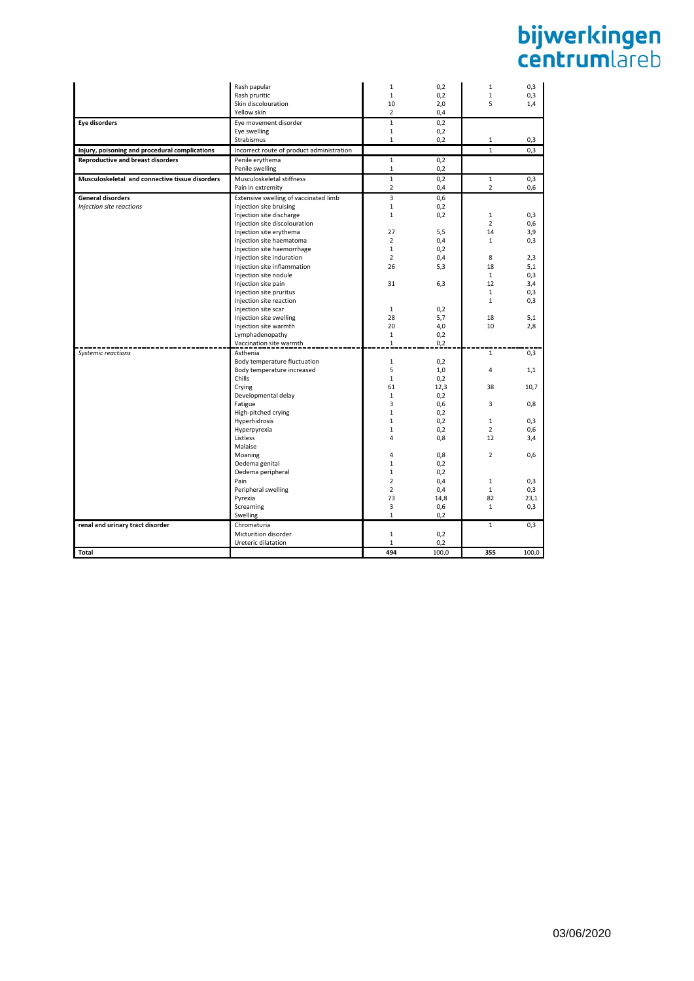| Rash pruritic<br>$\mathbf{1}$<br>0,2<br>$\mathbf{1}$<br>10<br>5<br>Skin discolouration<br>2,0<br>$\overline{2}$<br>Yellow skin<br>0,4<br><b>Eye disorders</b><br>Eye movement disorder<br>$\mathbf{1}$<br>0,2<br>Eye swelling<br>$\mathbf{1}$<br>0,2<br>Strabismus<br>$\mathbf{1}$<br>0,2<br>1<br>Injury, poisoning and procedural complications<br>Incorrect route of product administration<br>$\mathbf{1}$<br><b>Reproductive and breast disorders</b><br>Penile erythema<br>$\mathbf{1}$<br>0,2<br>Penile swelling<br>1<br>0,2<br>Musculoskeletal and connective tissue disorders<br>Musculoskeletal stiffness<br>$\mathbf{1}$<br>0,2<br>$1\,$<br>Pain in extremity<br>2<br>0,4<br>$\overline{2}$<br><b>General disorders</b><br>Extensive swelling of vaccinated limb<br>3<br>0,6<br>$\mathbf{1}$<br>Injection site reactions<br>Injection site bruising<br>0,2<br>Injection site discharge<br>0,2<br>$\mathbf{1}$<br>1<br>$\overline{2}$<br>Injection site discolouration<br>Injection site erythema<br>27<br>5,5<br>14<br>Injection site haematoma<br>$\overline{2}$<br>0,4<br>$\mathbf{1}$<br>Injection site haemorrhage<br>$\mathbf{1}$<br>0,2<br>$\overline{2}$<br>8<br>Injection site induration<br>0,4<br>18<br>Injection site inflammation<br>26<br>5,3<br>Injection site nodule<br>$\mathbf{1}$<br>Injection site pain<br>31<br>6,3<br>12<br>$\mathbf{1}$<br>Injection site pruritus<br>Injection site reaction<br>$\mathbf{1}$<br>Injection site scar<br>0,2<br>1<br>28<br>5,7<br>18<br>Injection site swelling<br>Injection site warmth<br>20<br>4,0<br>10<br>Lymphadenopathy<br>$\mathbf{1}$<br>0,2<br>Vaccination site warmth<br>1<br>0,2<br>Asthenia<br>$\mathbf{1}$<br>Systemic reactions<br>Body temperature fluctuation<br>$\mathbf{1}$<br>0,2<br>Body temperature increased<br>5<br>1,0<br>4<br>Chills<br>$\mathbf{1}$<br>0,2<br>38<br>Crying<br>61<br>12,3<br>Developmental delay<br>$\mathbf{1}$<br>0,2<br>Fatigue<br>3<br>0.6<br>3<br>High-pitched crying<br>$\mathbf{1}$<br>0,2<br>Hyperhidrosis<br>$\mathbf{1}$<br>0,2<br>$\mathbf{1}$<br>$\overline{2}$<br>$\mathbf{1}$<br>0,2<br>Hyperpyrexia<br>Listless<br>4<br>0,8<br>12<br>Malaise<br>$\overline{2}$<br>Moaning<br>4<br>0,8<br>Oedema genital<br>$\mathbf{1}$<br>0,2<br>Oedema peripheral<br>$\mathbf{1}$<br>0,2<br>Pain<br>$\overline{2}$<br>0,4<br>$1\,$<br>Peripheral swelling<br>$\overline{2}$<br>0,4<br>$\mathbf{1}$<br>Pyrexia<br>73<br>82<br>14,8<br>Screaming<br>3<br>0,6<br>$\mathbf{1}$<br>$\mathbf{1}$<br>0,2<br>Swelling<br>$\mathbf{1}$<br>renal and urinary tract disorder<br>Chromaturia<br>Micturition disorder<br>1<br>0,2<br>Ureteric dilatation<br>$\mathbf{1}$<br>0,2<br>494<br>100,0<br>355<br>Total |              |   |     |   |       |
|--------------------------------------------------------------------------------------------------------------------------------------------------------------------------------------------------------------------------------------------------------------------------------------------------------------------------------------------------------------------------------------------------------------------------------------------------------------------------------------------------------------------------------------------------------------------------------------------------------------------------------------------------------------------------------------------------------------------------------------------------------------------------------------------------------------------------------------------------------------------------------------------------------------------------------------------------------------------------------------------------------------------------------------------------------------------------------------------------------------------------------------------------------------------------------------------------------------------------------------------------------------------------------------------------------------------------------------------------------------------------------------------------------------------------------------------------------------------------------------------------------------------------------------------------------------------------------------------------------------------------------------------------------------------------------------------------------------------------------------------------------------------------------------------------------------------------------------------------------------------------------------------------------------------------------------------------------------------------------------------------------------------------------------------------------------------------------------------------------------------------------------------------------------------------------------------------------------------------------------------------------------------------------------------------------------------------------------------------------------------------------------------------------------------------------------------------------------------------------------------------------------------------------------------------------------------------------------------------------------------------------------------------------------------------------------------------------------|--------------|---|-----|---|-------|
|                                                                                                                                                                                                                                                                                                                                                                                                                                                                                                                                                                                                                                                                                                                                                                                                                                                                                                                                                                                                                                                                                                                                                                                                                                                                                                                                                                                                                                                                                                                                                                                                                                                                                                                                                                                                                                                                                                                                                                                                                                                                                                                                                                                                                                                                                                                                                                                                                                                                                                                                                                                                                                                                                                              | Rash papular | 1 | 0,2 | 1 | 0,3   |
|                                                                                                                                                                                                                                                                                                                                                                                                                                                                                                                                                                                                                                                                                                                                                                                                                                                                                                                                                                                                                                                                                                                                                                                                                                                                                                                                                                                                                                                                                                                                                                                                                                                                                                                                                                                                                                                                                                                                                                                                                                                                                                                                                                                                                                                                                                                                                                                                                                                                                                                                                                                                                                                                                                              |              |   |     |   | 0,3   |
|                                                                                                                                                                                                                                                                                                                                                                                                                                                                                                                                                                                                                                                                                                                                                                                                                                                                                                                                                                                                                                                                                                                                                                                                                                                                                                                                                                                                                                                                                                                                                                                                                                                                                                                                                                                                                                                                                                                                                                                                                                                                                                                                                                                                                                                                                                                                                                                                                                                                                                                                                                                                                                                                                                              |              |   |     |   | 1,4   |
|                                                                                                                                                                                                                                                                                                                                                                                                                                                                                                                                                                                                                                                                                                                                                                                                                                                                                                                                                                                                                                                                                                                                                                                                                                                                                                                                                                                                                                                                                                                                                                                                                                                                                                                                                                                                                                                                                                                                                                                                                                                                                                                                                                                                                                                                                                                                                                                                                                                                                                                                                                                                                                                                                                              |              |   |     |   |       |
|                                                                                                                                                                                                                                                                                                                                                                                                                                                                                                                                                                                                                                                                                                                                                                                                                                                                                                                                                                                                                                                                                                                                                                                                                                                                                                                                                                                                                                                                                                                                                                                                                                                                                                                                                                                                                                                                                                                                                                                                                                                                                                                                                                                                                                                                                                                                                                                                                                                                                                                                                                                                                                                                                                              |              |   |     |   |       |
|                                                                                                                                                                                                                                                                                                                                                                                                                                                                                                                                                                                                                                                                                                                                                                                                                                                                                                                                                                                                                                                                                                                                                                                                                                                                                                                                                                                                                                                                                                                                                                                                                                                                                                                                                                                                                                                                                                                                                                                                                                                                                                                                                                                                                                                                                                                                                                                                                                                                                                                                                                                                                                                                                                              |              |   |     |   |       |
|                                                                                                                                                                                                                                                                                                                                                                                                                                                                                                                                                                                                                                                                                                                                                                                                                                                                                                                                                                                                                                                                                                                                                                                                                                                                                                                                                                                                                                                                                                                                                                                                                                                                                                                                                                                                                                                                                                                                                                                                                                                                                                                                                                                                                                                                                                                                                                                                                                                                                                                                                                                                                                                                                                              |              |   |     |   | 0,3   |
|                                                                                                                                                                                                                                                                                                                                                                                                                                                                                                                                                                                                                                                                                                                                                                                                                                                                                                                                                                                                                                                                                                                                                                                                                                                                                                                                                                                                                                                                                                                                                                                                                                                                                                                                                                                                                                                                                                                                                                                                                                                                                                                                                                                                                                                                                                                                                                                                                                                                                                                                                                                                                                                                                                              |              |   |     |   | 0,3   |
|                                                                                                                                                                                                                                                                                                                                                                                                                                                                                                                                                                                                                                                                                                                                                                                                                                                                                                                                                                                                                                                                                                                                                                                                                                                                                                                                                                                                                                                                                                                                                                                                                                                                                                                                                                                                                                                                                                                                                                                                                                                                                                                                                                                                                                                                                                                                                                                                                                                                                                                                                                                                                                                                                                              |              |   |     |   |       |
|                                                                                                                                                                                                                                                                                                                                                                                                                                                                                                                                                                                                                                                                                                                                                                                                                                                                                                                                                                                                                                                                                                                                                                                                                                                                                                                                                                                                                                                                                                                                                                                                                                                                                                                                                                                                                                                                                                                                                                                                                                                                                                                                                                                                                                                                                                                                                                                                                                                                                                                                                                                                                                                                                                              |              |   |     |   |       |
|                                                                                                                                                                                                                                                                                                                                                                                                                                                                                                                                                                                                                                                                                                                                                                                                                                                                                                                                                                                                                                                                                                                                                                                                                                                                                                                                                                                                                                                                                                                                                                                                                                                                                                                                                                                                                                                                                                                                                                                                                                                                                                                                                                                                                                                                                                                                                                                                                                                                                                                                                                                                                                                                                                              |              |   |     |   | 0,3   |
|                                                                                                                                                                                                                                                                                                                                                                                                                                                                                                                                                                                                                                                                                                                                                                                                                                                                                                                                                                                                                                                                                                                                                                                                                                                                                                                                                                                                                                                                                                                                                                                                                                                                                                                                                                                                                                                                                                                                                                                                                                                                                                                                                                                                                                                                                                                                                                                                                                                                                                                                                                                                                                                                                                              |              |   |     |   | 0,6   |
|                                                                                                                                                                                                                                                                                                                                                                                                                                                                                                                                                                                                                                                                                                                                                                                                                                                                                                                                                                                                                                                                                                                                                                                                                                                                                                                                                                                                                                                                                                                                                                                                                                                                                                                                                                                                                                                                                                                                                                                                                                                                                                                                                                                                                                                                                                                                                                                                                                                                                                                                                                                                                                                                                                              |              |   |     |   |       |
|                                                                                                                                                                                                                                                                                                                                                                                                                                                                                                                                                                                                                                                                                                                                                                                                                                                                                                                                                                                                                                                                                                                                                                                                                                                                                                                                                                                                                                                                                                                                                                                                                                                                                                                                                                                                                                                                                                                                                                                                                                                                                                                                                                                                                                                                                                                                                                                                                                                                                                                                                                                                                                                                                                              |              |   |     |   |       |
|                                                                                                                                                                                                                                                                                                                                                                                                                                                                                                                                                                                                                                                                                                                                                                                                                                                                                                                                                                                                                                                                                                                                                                                                                                                                                                                                                                                                                                                                                                                                                                                                                                                                                                                                                                                                                                                                                                                                                                                                                                                                                                                                                                                                                                                                                                                                                                                                                                                                                                                                                                                                                                                                                                              |              |   |     |   | 0,3   |
|                                                                                                                                                                                                                                                                                                                                                                                                                                                                                                                                                                                                                                                                                                                                                                                                                                                                                                                                                                                                                                                                                                                                                                                                                                                                                                                                                                                                                                                                                                                                                                                                                                                                                                                                                                                                                                                                                                                                                                                                                                                                                                                                                                                                                                                                                                                                                                                                                                                                                                                                                                                                                                                                                                              |              |   |     |   | 0,6   |
|                                                                                                                                                                                                                                                                                                                                                                                                                                                                                                                                                                                                                                                                                                                                                                                                                                                                                                                                                                                                                                                                                                                                                                                                                                                                                                                                                                                                                                                                                                                                                                                                                                                                                                                                                                                                                                                                                                                                                                                                                                                                                                                                                                                                                                                                                                                                                                                                                                                                                                                                                                                                                                                                                                              |              |   |     |   | 3,9   |
|                                                                                                                                                                                                                                                                                                                                                                                                                                                                                                                                                                                                                                                                                                                                                                                                                                                                                                                                                                                                                                                                                                                                                                                                                                                                                                                                                                                                                                                                                                                                                                                                                                                                                                                                                                                                                                                                                                                                                                                                                                                                                                                                                                                                                                                                                                                                                                                                                                                                                                                                                                                                                                                                                                              |              |   |     |   | 0,3   |
|                                                                                                                                                                                                                                                                                                                                                                                                                                                                                                                                                                                                                                                                                                                                                                                                                                                                                                                                                                                                                                                                                                                                                                                                                                                                                                                                                                                                                                                                                                                                                                                                                                                                                                                                                                                                                                                                                                                                                                                                                                                                                                                                                                                                                                                                                                                                                                                                                                                                                                                                                                                                                                                                                                              |              |   |     |   |       |
|                                                                                                                                                                                                                                                                                                                                                                                                                                                                                                                                                                                                                                                                                                                                                                                                                                                                                                                                                                                                                                                                                                                                                                                                                                                                                                                                                                                                                                                                                                                                                                                                                                                                                                                                                                                                                                                                                                                                                                                                                                                                                                                                                                                                                                                                                                                                                                                                                                                                                                                                                                                                                                                                                                              |              |   |     |   | 2,3   |
|                                                                                                                                                                                                                                                                                                                                                                                                                                                                                                                                                                                                                                                                                                                                                                                                                                                                                                                                                                                                                                                                                                                                                                                                                                                                                                                                                                                                                                                                                                                                                                                                                                                                                                                                                                                                                                                                                                                                                                                                                                                                                                                                                                                                                                                                                                                                                                                                                                                                                                                                                                                                                                                                                                              |              |   |     |   | 5,1   |
|                                                                                                                                                                                                                                                                                                                                                                                                                                                                                                                                                                                                                                                                                                                                                                                                                                                                                                                                                                                                                                                                                                                                                                                                                                                                                                                                                                                                                                                                                                                                                                                                                                                                                                                                                                                                                                                                                                                                                                                                                                                                                                                                                                                                                                                                                                                                                                                                                                                                                                                                                                                                                                                                                                              |              |   |     |   | 0,3   |
|                                                                                                                                                                                                                                                                                                                                                                                                                                                                                                                                                                                                                                                                                                                                                                                                                                                                                                                                                                                                                                                                                                                                                                                                                                                                                                                                                                                                                                                                                                                                                                                                                                                                                                                                                                                                                                                                                                                                                                                                                                                                                                                                                                                                                                                                                                                                                                                                                                                                                                                                                                                                                                                                                                              |              |   |     |   | 3,4   |
|                                                                                                                                                                                                                                                                                                                                                                                                                                                                                                                                                                                                                                                                                                                                                                                                                                                                                                                                                                                                                                                                                                                                                                                                                                                                                                                                                                                                                                                                                                                                                                                                                                                                                                                                                                                                                                                                                                                                                                                                                                                                                                                                                                                                                                                                                                                                                                                                                                                                                                                                                                                                                                                                                                              |              |   |     |   | 0,3   |
|                                                                                                                                                                                                                                                                                                                                                                                                                                                                                                                                                                                                                                                                                                                                                                                                                                                                                                                                                                                                                                                                                                                                                                                                                                                                                                                                                                                                                                                                                                                                                                                                                                                                                                                                                                                                                                                                                                                                                                                                                                                                                                                                                                                                                                                                                                                                                                                                                                                                                                                                                                                                                                                                                                              |              |   |     |   | 0,3   |
|                                                                                                                                                                                                                                                                                                                                                                                                                                                                                                                                                                                                                                                                                                                                                                                                                                                                                                                                                                                                                                                                                                                                                                                                                                                                                                                                                                                                                                                                                                                                                                                                                                                                                                                                                                                                                                                                                                                                                                                                                                                                                                                                                                                                                                                                                                                                                                                                                                                                                                                                                                                                                                                                                                              |              |   |     |   |       |
|                                                                                                                                                                                                                                                                                                                                                                                                                                                                                                                                                                                                                                                                                                                                                                                                                                                                                                                                                                                                                                                                                                                                                                                                                                                                                                                                                                                                                                                                                                                                                                                                                                                                                                                                                                                                                                                                                                                                                                                                                                                                                                                                                                                                                                                                                                                                                                                                                                                                                                                                                                                                                                                                                                              |              |   |     |   | 5,1   |
|                                                                                                                                                                                                                                                                                                                                                                                                                                                                                                                                                                                                                                                                                                                                                                                                                                                                                                                                                                                                                                                                                                                                                                                                                                                                                                                                                                                                                                                                                                                                                                                                                                                                                                                                                                                                                                                                                                                                                                                                                                                                                                                                                                                                                                                                                                                                                                                                                                                                                                                                                                                                                                                                                                              |              |   |     |   | 2,8   |
|                                                                                                                                                                                                                                                                                                                                                                                                                                                                                                                                                                                                                                                                                                                                                                                                                                                                                                                                                                                                                                                                                                                                                                                                                                                                                                                                                                                                                                                                                                                                                                                                                                                                                                                                                                                                                                                                                                                                                                                                                                                                                                                                                                                                                                                                                                                                                                                                                                                                                                                                                                                                                                                                                                              |              |   |     |   |       |
|                                                                                                                                                                                                                                                                                                                                                                                                                                                                                                                                                                                                                                                                                                                                                                                                                                                                                                                                                                                                                                                                                                                                                                                                                                                                                                                                                                                                                                                                                                                                                                                                                                                                                                                                                                                                                                                                                                                                                                                                                                                                                                                                                                                                                                                                                                                                                                                                                                                                                                                                                                                                                                                                                                              |              |   |     |   |       |
|                                                                                                                                                                                                                                                                                                                                                                                                                                                                                                                                                                                                                                                                                                                                                                                                                                                                                                                                                                                                                                                                                                                                                                                                                                                                                                                                                                                                                                                                                                                                                                                                                                                                                                                                                                                                                                                                                                                                                                                                                                                                                                                                                                                                                                                                                                                                                                                                                                                                                                                                                                                                                                                                                                              |              |   |     |   | 0,3   |
|                                                                                                                                                                                                                                                                                                                                                                                                                                                                                                                                                                                                                                                                                                                                                                                                                                                                                                                                                                                                                                                                                                                                                                                                                                                                                                                                                                                                                                                                                                                                                                                                                                                                                                                                                                                                                                                                                                                                                                                                                                                                                                                                                                                                                                                                                                                                                                                                                                                                                                                                                                                                                                                                                                              |              |   |     |   |       |
|                                                                                                                                                                                                                                                                                                                                                                                                                                                                                                                                                                                                                                                                                                                                                                                                                                                                                                                                                                                                                                                                                                                                                                                                                                                                                                                                                                                                                                                                                                                                                                                                                                                                                                                                                                                                                                                                                                                                                                                                                                                                                                                                                                                                                                                                                                                                                                                                                                                                                                                                                                                                                                                                                                              |              |   |     |   | 1,1   |
|                                                                                                                                                                                                                                                                                                                                                                                                                                                                                                                                                                                                                                                                                                                                                                                                                                                                                                                                                                                                                                                                                                                                                                                                                                                                                                                                                                                                                                                                                                                                                                                                                                                                                                                                                                                                                                                                                                                                                                                                                                                                                                                                                                                                                                                                                                                                                                                                                                                                                                                                                                                                                                                                                                              |              |   |     |   |       |
|                                                                                                                                                                                                                                                                                                                                                                                                                                                                                                                                                                                                                                                                                                                                                                                                                                                                                                                                                                                                                                                                                                                                                                                                                                                                                                                                                                                                                                                                                                                                                                                                                                                                                                                                                                                                                                                                                                                                                                                                                                                                                                                                                                                                                                                                                                                                                                                                                                                                                                                                                                                                                                                                                                              |              |   |     |   | 10,7  |
|                                                                                                                                                                                                                                                                                                                                                                                                                                                                                                                                                                                                                                                                                                                                                                                                                                                                                                                                                                                                                                                                                                                                                                                                                                                                                                                                                                                                                                                                                                                                                                                                                                                                                                                                                                                                                                                                                                                                                                                                                                                                                                                                                                                                                                                                                                                                                                                                                                                                                                                                                                                                                                                                                                              |              |   |     |   |       |
|                                                                                                                                                                                                                                                                                                                                                                                                                                                                                                                                                                                                                                                                                                                                                                                                                                                                                                                                                                                                                                                                                                                                                                                                                                                                                                                                                                                                                                                                                                                                                                                                                                                                                                                                                                                                                                                                                                                                                                                                                                                                                                                                                                                                                                                                                                                                                                                                                                                                                                                                                                                                                                                                                                              |              |   |     |   | 0.8   |
|                                                                                                                                                                                                                                                                                                                                                                                                                                                                                                                                                                                                                                                                                                                                                                                                                                                                                                                                                                                                                                                                                                                                                                                                                                                                                                                                                                                                                                                                                                                                                                                                                                                                                                                                                                                                                                                                                                                                                                                                                                                                                                                                                                                                                                                                                                                                                                                                                                                                                                                                                                                                                                                                                                              |              |   |     |   |       |
|                                                                                                                                                                                                                                                                                                                                                                                                                                                                                                                                                                                                                                                                                                                                                                                                                                                                                                                                                                                                                                                                                                                                                                                                                                                                                                                                                                                                                                                                                                                                                                                                                                                                                                                                                                                                                                                                                                                                                                                                                                                                                                                                                                                                                                                                                                                                                                                                                                                                                                                                                                                                                                                                                                              |              |   |     |   | 0,3   |
|                                                                                                                                                                                                                                                                                                                                                                                                                                                                                                                                                                                                                                                                                                                                                                                                                                                                                                                                                                                                                                                                                                                                                                                                                                                                                                                                                                                                                                                                                                                                                                                                                                                                                                                                                                                                                                                                                                                                                                                                                                                                                                                                                                                                                                                                                                                                                                                                                                                                                                                                                                                                                                                                                                              |              |   |     |   | 0,6   |
|                                                                                                                                                                                                                                                                                                                                                                                                                                                                                                                                                                                                                                                                                                                                                                                                                                                                                                                                                                                                                                                                                                                                                                                                                                                                                                                                                                                                                                                                                                                                                                                                                                                                                                                                                                                                                                                                                                                                                                                                                                                                                                                                                                                                                                                                                                                                                                                                                                                                                                                                                                                                                                                                                                              |              |   |     |   | 3,4   |
|                                                                                                                                                                                                                                                                                                                                                                                                                                                                                                                                                                                                                                                                                                                                                                                                                                                                                                                                                                                                                                                                                                                                                                                                                                                                                                                                                                                                                                                                                                                                                                                                                                                                                                                                                                                                                                                                                                                                                                                                                                                                                                                                                                                                                                                                                                                                                                                                                                                                                                                                                                                                                                                                                                              |              |   |     |   |       |
|                                                                                                                                                                                                                                                                                                                                                                                                                                                                                                                                                                                                                                                                                                                                                                                                                                                                                                                                                                                                                                                                                                                                                                                                                                                                                                                                                                                                                                                                                                                                                                                                                                                                                                                                                                                                                                                                                                                                                                                                                                                                                                                                                                                                                                                                                                                                                                                                                                                                                                                                                                                                                                                                                                              |              |   |     |   | 0,6   |
|                                                                                                                                                                                                                                                                                                                                                                                                                                                                                                                                                                                                                                                                                                                                                                                                                                                                                                                                                                                                                                                                                                                                                                                                                                                                                                                                                                                                                                                                                                                                                                                                                                                                                                                                                                                                                                                                                                                                                                                                                                                                                                                                                                                                                                                                                                                                                                                                                                                                                                                                                                                                                                                                                                              |              |   |     |   |       |
|                                                                                                                                                                                                                                                                                                                                                                                                                                                                                                                                                                                                                                                                                                                                                                                                                                                                                                                                                                                                                                                                                                                                                                                                                                                                                                                                                                                                                                                                                                                                                                                                                                                                                                                                                                                                                                                                                                                                                                                                                                                                                                                                                                                                                                                                                                                                                                                                                                                                                                                                                                                                                                                                                                              |              |   |     |   |       |
|                                                                                                                                                                                                                                                                                                                                                                                                                                                                                                                                                                                                                                                                                                                                                                                                                                                                                                                                                                                                                                                                                                                                                                                                                                                                                                                                                                                                                                                                                                                                                                                                                                                                                                                                                                                                                                                                                                                                                                                                                                                                                                                                                                                                                                                                                                                                                                                                                                                                                                                                                                                                                                                                                                              |              |   |     |   | 0,3   |
|                                                                                                                                                                                                                                                                                                                                                                                                                                                                                                                                                                                                                                                                                                                                                                                                                                                                                                                                                                                                                                                                                                                                                                                                                                                                                                                                                                                                                                                                                                                                                                                                                                                                                                                                                                                                                                                                                                                                                                                                                                                                                                                                                                                                                                                                                                                                                                                                                                                                                                                                                                                                                                                                                                              |              |   |     |   | 0,3   |
|                                                                                                                                                                                                                                                                                                                                                                                                                                                                                                                                                                                                                                                                                                                                                                                                                                                                                                                                                                                                                                                                                                                                                                                                                                                                                                                                                                                                                                                                                                                                                                                                                                                                                                                                                                                                                                                                                                                                                                                                                                                                                                                                                                                                                                                                                                                                                                                                                                                                                                                                                                                                                                                                                                              |              |   |     |   | 23,1  |
|                                                                                                                                                                                                                                                                                                                                                                                                                                                                                                                                                                                                                                                                                                                                                                                                                                                                                                                                                                                                                                                                                                                                                                                                                                                                                                                                                                                                                                                                                                                                                                                                                                                                                                                                                                                                                                                                                                                                                                                                                                                                                                                                                                                                                                                                                                                                                                                                                                                                                                                                                                                                                                                                                                              |              |   |     |   | 0,3   |
|                                                                                                                                                                                                                                                                                                                                                                                                                                                                                                                                                                                                                                                                                                                                                                                                                                                                                                                                                                                                                                                                                                                                                                                                                                                                                                                                                                                                                                                                                                                                                                                                                                                                                                                                                                                                                                                                                                                                                                                                                                                                                                                                                                                                                                                                                                                                                                                                                                                                                                                                                                                                                                                                                                              |              |   |     |   |       |
|                                                                                                                                                                                                                                                                                                                                                                                                                                                                                                                                                                                                                                                                                                                                                                                                                                                                                                                                                                                                                                                                                                                                                                                                                                                                                                                                                                                                                                                                                                                                                                                                                                                                                                                                                                                                                                                                                                                                                                                                                                                                                                                                                                                                                                                                                                                                                                                                                                                                                                                                                                                                                                                                                                              |              |   |     |   | 0,3   |
|                                                                                                                                                                                                                                                                                                                                                                                                                                                                                                                                                                                                                                                                                                                                                                                                                                                                                                                                                                                                                                                                                                                                                                                                                                                                                                                                                                                                                                                                                                                                                                                                                                                                                                                                                                                                                                                                                                                                                                                                                                                                                                                                                                                                                                                                                                                                                                                                                                                                                                                                                                                                                                                                                                              |              |   |     |   |       |
|                                                                                                                                                                                                                                                                                                                                                                                                                                                                                                                                                                                                                                                                                                                                                                                                                                                                                                                                                                                                                                                                                                                                                                                                                                                                                                                                                                                                                                                                                                                                                                                                                                                                                                                                                                                                                                                                                                                                                                                                                                                                                                                                                                                                                                                                                                                                                                                                                                                                                                                                                                                                                                                                                                              |              |   |     |   |       |
|                                                                                                                                                                                                                                                                                                                                                                                                                                                                                                                                                                                                                                                                                                                                                                                                                                                                                                                                                                                                                                                                                                                                                                                                                                                                                                                                                                                                                                                                                                                                                                                                                                                                                                                                                                                                                                                                                                                                                                                                                                                                                                                                                                                                                                                                                                                                                                                                                                                                                                                                                                                                                                                                                                              |              |   |     |   | 100,0 |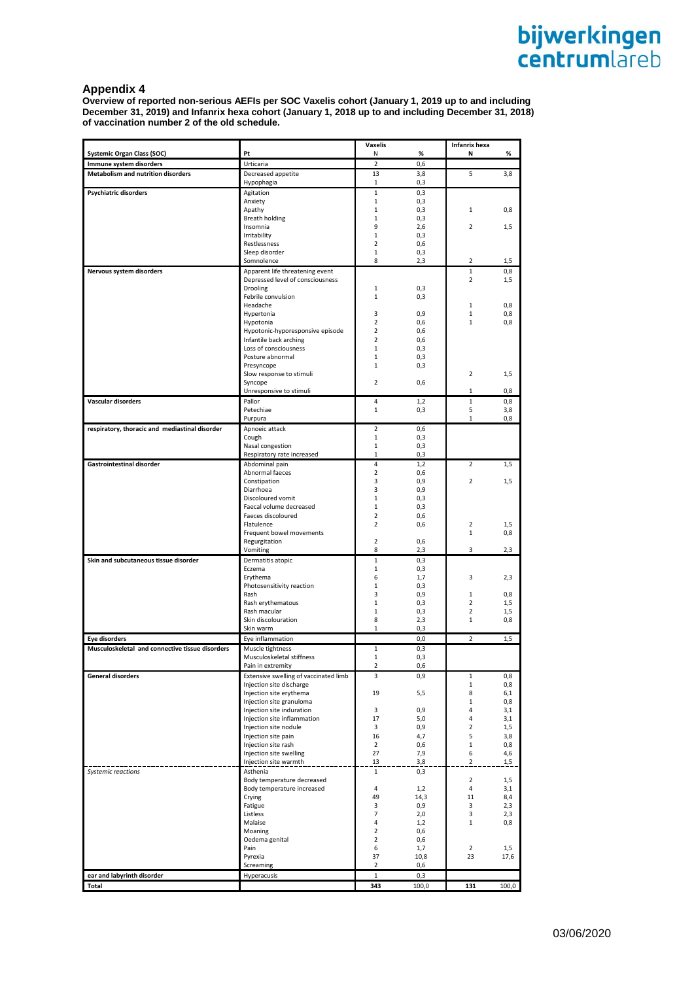### **Appendix 4**

**Overview of reported non-serious AEFIs per SOC Vaxelis cohort (January 1, 2019 up to and including December 31, 2019) and Infanrix hexa cohort (January 1, 2018 up to and including December 31, 2018) of vaccination number 2 of the old schedule.**

|                                                              | Pt                                                                | <b>Vaxelis</b>                   |            | Infanrix hexa<br>Ν  |            |
|--------------------------------------------------------------|-------------------------------------------------------------------|----------------------------------|------------|---------------------|------------|
| <b>Systemic Organ Class (SOC)</b><br>Immune system disorders | Urticaria                                                         | Ν<br>$\overline{2}$              | %<br>0,6   |                     | %          |
| Metabolism and nutrition disorders                           | Decreased appetite                                                | 13                               | 3,8        | 5                   | 3,8        |
|                                                              | Hypophagia                                                        | 1                                | 0,3        |                     |            |
| Psychiatric disorders                                        | Agitation                                                         | $\mathbf{1}$                     | 0,3        |                     |            |
|                                                              | Anxiety                                                           | 1                                | 0,3        |                     |            |
|                                                              | Apathy                                                            | 1                                | 0,3        | 1                   | 0,8        |
|                                                              | Breath holding                                                    | 1                                | 0,3        |                     |            |
|                                                              | Insomnia                                                          | 9                                | 2,6        | $\overline{2}$      | 1,5        |
|                                                              | Irritability                                                      | 1                                | 0,3        |                     |            |
|                                                              | Restlessness<br>Sleep disorder                                    | $\overline{2}$<br>1              | 0,6<br>0,3 |                     |            |
|                                                              | Somnolence                                                        | 8                                | 2,3        | 2                   | 1,5        |
| Nervous system disorders                                     | Apparent life threatening event                                   |                                  |            | $\mathbf{1}$        | 0,8        |
|                                                              | Depressed level of consciousness                                  |                                  |            | $\overline{2}$      | 1,5        |
|                                                              | <b>Drooling</b>                                                   | 1                                | 0,3        |                     |            |
|                                                              | Febrile convulsion                                                | 1                                | 0,3        |                     |            |
|                                                              | Headache                                                          |                                  |            | 1                   | 0,8        |
|                                                              | Hypertonia                                                        | 3                                | 0,9        | $\mathbf 1$         | 0,8        |
|                                                              | Hypotonia<br>Hypotonic-hyporesponsive episode                     | $\overline{2}$<br>$\overline{2}$ | 0,6<br>0,6 | $\mathbf{1}$        | 0,8        |
|                                                              | Infantile back arching                                            | 2                                | 0,6        |                     |            |
|                                                              | Loss of consciousness                                             | 1                                | 0,3        |                     |            |
|                                                              | Posture abnormal                                                  | 1                                | 0,3        |                     |            |
|                                                              | Presyncope                                                        | 1                                | 0,3        |                     |            |
|                                                              | Slow response to stimuli                                          |                                  |            | $\overline{2}$      | 1,5        |
|                                                              | Syncope                                                           | 2                                | 0,6        |                     |            |
|                                                              | Unresponsive to stimuli                                           |                                  |            | 1                   | 0,8        |
| Vascular disorders                                           | Pallor<br>Petechiae                                               | 4<br>$\mathbf{1}$                | 1,2        | $\mathbf{1}$<br>5   | 0,8        |
|                                                              | Purpura                                                           |                                  | 0,3        | $\mathbf{1}$        | 3,8<br>0,8 |
| respiratory, thoracic and mediastinal disorder               | Apnoeic attack                                                    | $\overline{2}$                   | 0,6        |                     |            |
|                                                              | Cough                                                             | 1                                | 0,3        |                     |            |
|                                                              | Nasal congestion                                                  | 1                                | 0,3        |                     |            |
|                                                              | Respiratory rate increased                                        | 1                                | 0,3        |                     |            |
| <b>Gastrointestinal disorder</b>                             | Abdominal pain                                                    | 4                                | 1,2        | $\overline{2}$      | 1,5        |
|                                                              | Abnormal faeces                                                   | $\overline{\mathbf{c}}$          | 0,6        |                     |            |
|                                                              | Constipation                                                      | 3                                | 0,9        | $\overline{2}$      | 1,5        |
|                                                              | Diarrhoea                                                         | 3                                | 0,9        |                     |            |
|                                                              | Discoloured vomit<br>Faecal volume decreased                      | 1<br>1                           | 0,3<br>0,3 |                     |            |
|                                                              | Faeces discoloured                                                | 2                                | 0,6        |                     |            |
|                                                              | Flatulence                                                        | 2                                | 0,6        | $\overline{2}$      | 1,5        |
|                                                              | Frequent bowel movements                                          |                                  |            | $\mathbf 1$         | 0,8        |
|                                                              | Regurgitation                                                     | $\overline{2}$                   | 0,6        |                     |            |
|                                                              | Vomiting                                                          | 8                                | 2,3        | 3                   | 2,3        |
| Skin and subcutaneous tissue disorder                        | Dermatitis atopic                                                 | $\mathbf{1}$                     | 0,3        |                     |            |
|                                                              | Eczema                                                            | $\mathbf{1}$                     | 0,3        |                     |            |
|                                                              | Erythema                                                          | 6<br>1                           | 1,7<br>0,3 | 3                   | 2,3        |
|                                                              | Photosensitivity reaction<br>Rash                                 | 3                                | 0,9        | 1                   | 0,8        |
|                                                              | Rash erythematous                                                 | 1                                | 0,3        | $\overline{2}$      | 1,5        |
|                                                              | Rash macular                                                      | 1                                | 0,3        | $\overline{2}$      | 1,5        |
|                                                              | Skin discolouration                                               | 8                                | 2,3        | $\mathbf{1}$        | 0,8        |
|                                                              | Skin warm                                                         | 1                                | 0,3        |                     |            |
| Eye disorders                                                | Eye inflammation                                                  |                                  | 0,0        | $\overline{2}$      | 1,5        |
| Musculoskeletal and connective tissue disorders              | Muscle tightness                                                  | $\mathbf{1}$                     | 0,3        |                     |            |
|                                                              | Musculoskeletal stiffness                                         | 1                                | 0,3        |                     |            |
|                                                              | Pain in extremity                                                 | 2                                | 0,6        |                     |            |
| <b>General disorders</b>                                     | Extensive swelling of vaccinated limb<br>Injection site discharge | 3                                | 0,9        | 1<br>$\mathbf 1$    | 0,8        |
|                                                              | Injection site erythema                                           | 19                               | 5,5        | 8                   | 0,8<br>6,1 |
|                                                              | Injection site granuloma                                          |                                  |            | $\mathbf{1}$        | 0,8        |
|                                                              | Injection site induration                                         | 3                                | 0,9        | 4                   | 3,1        |
|                                                              | Injection site inflammation                                       | 17                               | 5,0        | 4                   | 3,1        |
|                                                              | Injection site nodule                                             | 3                                | 0,9        | $\overline{2}$      | 1,5        |
|                                                              | Injection site pain                                               | 16                               | 4,7        | 5                   | 3,8        |
|                                                              | Injection site rash                                               | 2                                | 0,6        | $\mathbf{1}$        | 0,8        |
|                                                              | Injection site swelling<br>Injection site warmth                  | 27<br>13                         | 7,9<br>3,8 | 6<br>$\overline{2}$ | 4,6<br>1,5 |
| Systemic reactions                                           | Asthenia                                                          | $\mathbf{1}$                     | 0,3        |                     |            |
|                                                              | Body temperature decreased                                        |                                  |            | $\overline{2}$      | 1,5        |
|                                                              | Body temperature increased                                        | $\overline{4}$                   | 1,2        | $\overline{4}$      | 3,1        |
|                                                              | Crying                                                            | 49                               | 14,3       | 11                  | 8,4        |
|                                                              | Fatigue                                                           | 3                                | 0,9        | 3                   | 2,3        |
|                                                              | Listless                                                          | 7                                | 2,0        | 3                   | 2,3        |
|                                                              | Malaise                                                           | 4                                | 1,2        | $\mathbf{1}$        | 0,8        |
|                                                              | Moaning<br>Oedema genital                                         | $\overline{2}$<br>$\overline{2}$ | 0,6<br>0,6 |                     |            |
|                                                              | Pain                                                              | 6                                | 1,7        | $\overline{2}$      | 1,5        |
|                                                              | Pyrexia                                                           | 37                               | 10,8       | 23                  | 17,6       |
|                                                              | Screaming                                                         | $\overline{2}$                   | 0,6        |                     |            |
| ear and labyrinth disorder                                   | Hyperacusis                                                       | $\mathbf 1$                      | 0,3        |                     |            |
| Total                                                        |                                                                   | 343                              | 100,0      | 131                 | 100,0      |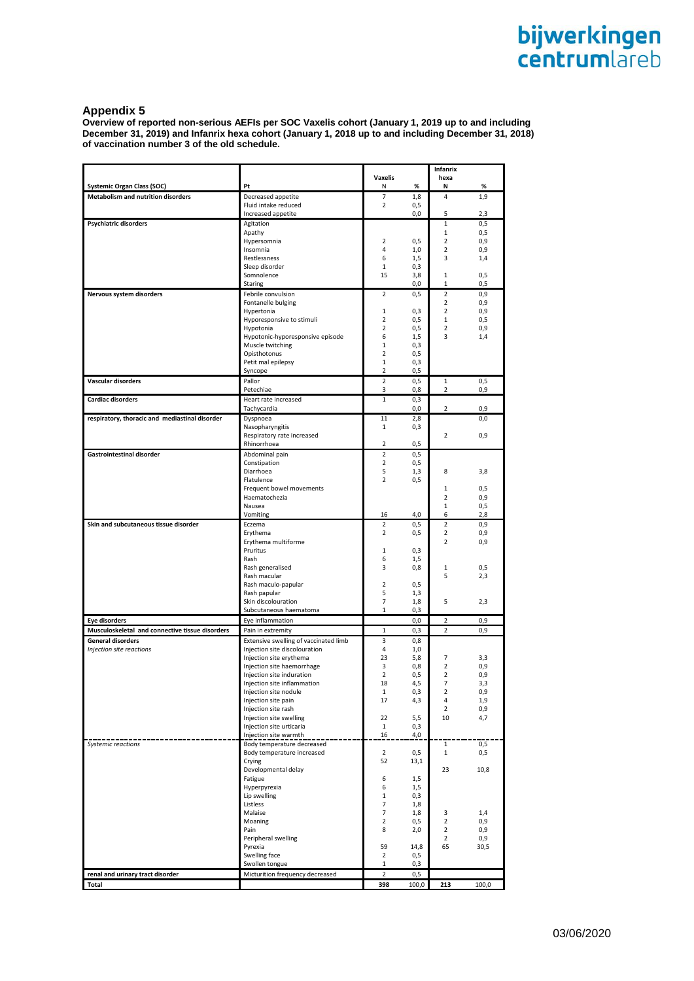# **Appendix 5**

**Overview of reported non-serious AEFIs per SOC Vaxelis cohort (January 1, 2019 up to and including December 31, 2019) and Infanrix hexa cohort (January 1, 2018 up to and including December 31, 2018) of vaccination number 3 of the old schedule.**

|                                                                                |                                                                        |                     |             | <b>Infanrix</b>                  |             |
|--------------------------------------------------------------------------------|------------------------------------------------------------------------|---------------------|-------------|----------------------------------|-------------|
|                                                                                |                                                                        | Vaxelis             |             | hexa                             |             |
| <b>Systemic Organ Class (SOC)</b><br><b>Metabolism and nutrition disorders</b> | Pt<br>Decreased appetite                                               | Ν<br>7              | $\%$<br>1,8 | Ν<br>4                           | %<br>1,9    |
|                                                                                | Fluid intake reduced                                                   | $\overline{2}$      | 0,5         |                                  |             |
|                                                                                | Increased appetite                                                     |                     | 0,0         | 5                                | 2,3         |
| <b>Psychiatric disorders</b>                                                   | Agitation                                                              |                     |             | $1\,$                            | 0,5         |
|                                                                                | Apathy                                                                 | $\overline{2}$      |             | $1\,$<br>$\overline{2}$          | 0,5         |
|                                                                                | Hypersomnia<br>Insomnia                                                | 4                   | 0,5<br>1,0  | $\overline{2}$                   | 0,9<br>0,9  |
|                                                                                | Restlessness                                                           | 6                   | 1,5         | 3                                | 1,4         |
|                                                                                | Sleep disorder                                                         | $\mathbf{1}$        | 0,3         |                                  |             |
|                                                                                | Somnolence                                                             | 15                  | 3,8         | 1                                | 0,5         |
| Nervous system disorders                                                       | Staring<br>Febrile convulsion                                          | 2                   | 0,0<br>0,5  | 1<br>$\overline{2}$              | 0,5<br>0,9  |
|                                                                                | Fontanelle bulging                                                     |                     |             | $\overline{2}$                   | 0,9         |
|                                                                                | Hypertonia                                                             | 1                   | 0,3         | $\overline{2}$                   | 0,9         |
|                                                                                | Hyporesponsive to stimuli                                              | $\overline{2}$      | 0,5         | $1\,$                            | 0,5         |
|                                                                                | Hypotonia                                                              | $\overline{2}$      | 0,5         | $\overline{2}$<br>3              | 0,9         |
|                                                                                | Hypotonic-hyporesponsive episode<br>Muscle twitching                   | 6<br>$\mathbf{1}$   | 1,5<br>0,3  |                                  | 1,4         |
|                                                                                | Opisthotonus                                                           | $\overline{2}$      | 0,5         |                                  |             |
|                                                                                | Petit mal epilepsy                                                     | 1                   | 0,3         |                                  |             |
|                                                                                | Syncope                                                                | $\overline{2}$      | 0,5         |                                  |             |
| Vascular disorders                                                             | Pallor<br>Petechiae                                                    | $\overline{2}$<br>3 | 0, 5<br>0,8 | 1<br>$\overline{2}$              | 0,5<br>0,9  |
| <b>Cardiac disorders</b>                                                       | Heart rate increased                                                   | $\mathbf{1}$        | 0,3         |                                  |             |
|                                                                                | Tachycardia                                                            |                     | 0,0         | 2                                | 0,9         |
| respiratory, thoracic and mediastinal disorder                                 | Dyspnoea                                                               | 11                  | 2,8         |                                  | 0,0         |
|                                                                                | Nasopharyngitis<br>Respiratory rate increased                          | $\mathbf{1}$        | 0,3         | $\overline{2}$                   | 0,9         |
|                                                                                | Rhinorrhoea                                                            | $\overline{2}$      | 0,5         |                                  |             |
| Gastrointestinal disorder                                                      | Abdominal pain                                                         | $\overline{2}$      | 0,5         |                                  |             |
|                                                                                | Constipation                                                           | $\overline{2}$      | 0,5         |                                  |             |
|                                                                                | Diarrhoea                                                              | 5                   | 1,3         | 8                                | 3,8         |
|                                                                                | Flatulence<br>Frequent bowel movements                                 | $\overline{2}$      | 0,5         | 1                                | 0,5         |
|                                                                                | Haematochezia                                                          |                     |             | $\overline{2}$                   | 0,9         |
|                                                                                | Nausea                                                                 |                     |             | $1\,$                            | 0,5         |
|                                                                                | Vomiting                                                               | 16                  | 4,0         | 6                                | 2,8         |
| Skin and subcutaneous tissue disorder                                          | Eczema                                                                 | 2                   | 0,5         | $\overline{2}$                   | 0,9         |
|                                                                                | Erythema<br>Erythema multiforme                                        | $\overline{2}$      | 0,5         | $\overline{2}$<br>$\overline{2}$ | 0,9<br>0,9  |
|                                                                                | Pruritus                                                               | 1                   | 0,3         |                                  |             |
|                                                                                | Rash                                                                   | 6                   | 1,5         |                                  |             |
|                                                                                | Rash generalised                                                       | 3                   | 0,8         | 1                                | 0,5         |
|                                                                                | Rash macular<br>Rash maculo-papular                                    | $\overline{2}$      | 0,5         | 5                                | 2,3         |
|                                                                                | Rash papular                                                           | 5                   | 1,3         |                                  |             |
|                                                                                | Skin discolouration                                                    | $\overline{7}$      | 1,8         | 5                                | 2,3         |
|                                                                                | Subcutaneous haematoma                                                 | 1                   | 0,3         |                                  |             |
| <b>Eye disorders</b>                                                           | Eye inflammation                                                       |                     | 0,0         | $\overline{2}$                   | 0,9         |
| Musculoskeletal and connective tissue disorders                                | Pain in extremity                                                      | 1                   | 0,3         | 2                                | 0,9         |
| General disorders<br>Injection site reactions                                  | Extensive swelling of vaccinated limb<br>Injection site discolouration | 3<br>4              | 0,8<br>1,0  |                                  |             |
|                                                                                | Injection site erythema                                                | 23                  | 5,8         | 7                                | 3,3         |
|                                                                                | Injection site haemorrhage                                             | 3                   | 0,8         | $\overline{2}$                   | 0,9         |
|                                                                                | Injection site induration                                              | $\overline{2}$      | 0, 5        | $\overline{2}$                   | 0,9         |
|                                                                                | Injection site inflammation                                            | 18                  | 4,5         | 7                                | 3,3         |
|                                                                                | Injection site nodule<br>Injection site pain                           | $\mathbf{1}$<br>17  | 0,3<br>4,3  | $\overline{\mathbf{2}}$<br>4     | 0,9<br>1,9  |
|                                                                                | Injection site rash                                                    |                     |             | $\overline{2}$                   | 0,9         |
|                                                                                | Injection site swelling                                                | 22                  | 5,5         | 10                               | 4,7         |
|                                                                                | Injection site urticaria                                               | $\mathbf{1}$        | 0,3         |                                  |             |
|                                                                                | Injection site warmth                                                  | 16                  | 4,0         |                                  |             |
| Systemic reactions                                                             | Body temperature decreased<br>Body temperature increased               | $\overline{2}$      | 0,5         | 1<br>$\mathbf 1$                 | 0,5<br>0,5  |
|                                                                                | Crying                                                                 | 52                  | 13,1        |                                  |             |
|                                                                                | Developmental delay                                                    |                     |             | 23                               | 10,8        |
|                                                                                | Fatigue                                                                | 6                   | 1,5         |                                  |             |
|                                                                                | Hyperpyrexia<br>Lip swelling                                           | 6<br>$\mathbf{1}$   | 1,5<br>0,3  |                                  |             |
|                                                                                | Listless                                                               | $\overline{7}$      | 1,8         |                                  |             |
|                                                                                | Malaise                                                                | $\overline{7}$      | 1,8         | 3                                | 1,4         |
|                                                                                | Moaning                                                                | $\overline{2}$      | 0,5         | $\overline{2}$                   | 0,9         |
|                                                                                | Pain                                                                   | 8                   | 2,0         | $\overline{2}$                   | 0,9         |
|                                                                                | Peripheral swelling<br>Pyrexia                                         | 59                  | 14,8        | $\overline{2}$<br>65             | 0,9<br>30,5 |
|                                                                                | Swelling face                                                          | $\overline{2}$      | 0,5         |                                  |             |
|                                                                                | Swollen tongue                                                         | 1                   | 0,3         |                                  |             |
| renal and urinary tract disorder                                               | Micturition frequency decreased                                        | $\overline{2}$      | 0,5         |                                  |             |
| Total                                                                          |                                                                        | 398                 | 100,0       | 213                              | 100,0       |